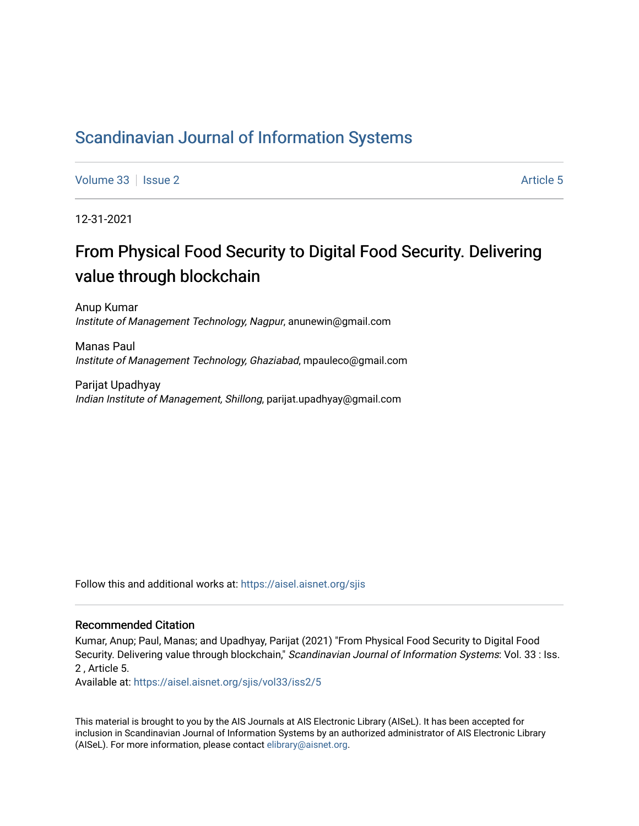# [Scandinavian Journal of Information Systems](https://aisel.aisnet.org/sjis)

[Volume 33](https://aisel.aisnet.org/sjis/vol33) | [Issue 2](https://aisel.aisnet.org/sjis/vol33/iss2) Article 5

12-31-2021

# From Physical Food Security to Digital Food Security. Delivering value through blockchain

Anup Kumar Institute of Management Technology, Nagpur, anunewin@gmail.com

Manas Paul Institute of Management Technology, Ghaziabad, mpauleco@gmail.com

Parijat Upadhyay Indian Institute of Management, Shillong, parijat.upadhyay@gmail.com

Follow this and additional works at: [https://aisel.aisnet.org/sjis](https://aisel.aisnet.org/sjis?utm_source=aisel.aisnet.org%2Fsjis%2Fvol33%2Fiss2%2F5&utm_medium=PDF&utm_campaign=PDFCoverPages)

## Recommended Citation

Kumar, Anup; Paul, Manas; and Upadhyay, Parijat (2021) "From Physical Food Security to Digital Food Security. Delivering value through blockchain," Scandinavian Journal of Information Systems: Vol. 33 : Iss. 2 , Article 5.

Available at: [https://aisel.aisnet.org/sjis/vol33/iss2/5](https://aisel.aisnet.org/sjis/vol33/iss2/5?utm_source=aisel.aisnet.org%2Fsjis%2Fvol33%2Fiss2%2F5&utm_medium=PDF&utm_campaign=PDFCoverPages) 

This material is brought to you by the AIS Journals at AIS Electronic Library (AISeL). It has been accepted for inclusion in Scandinavian Journal of Information Systems by an authorized administrator of AIS Electronic Library (AISeL). For more information, please contact [elibrary@aisnet.org](mailto:elibrary@aisnet.org%3E).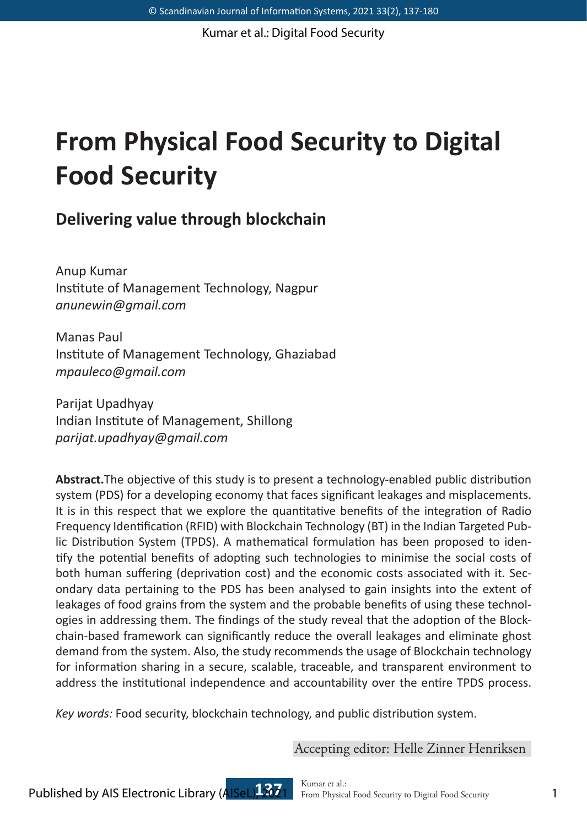# **From Physical Food Security to Digital Food Security**

## **Delivering value through blockchain**

Anup Kumar Institute of Management Technology, Nagpur *anunewin@gmail.com*

Manas Paul Institute of Management Technology, Ghaziabad *mpauleco@gmail.com*

Parijat Upadhyay Indian Institute of Management, Shillong *parijat.upadhyay@gmail.com*

**Abstract.**The objective of this study is to present a technology-enabled public distribution system (PDS) for a developing economy that faces significant leakages and misplacements. It is in this respect that we explore the quantitative benefits of the integration of Radio Frequency Identification (RFID) with Blockchain Technology (BT) in the Indian Targeted Public Distribution System (TPDS). A mathematical formulation has been proposed to identify the potential benefits of adopting such technologies to minimise the social costs of both human suffering (deprivation cost) and the economic costs associated with it. Secondary data pertaining to the PDS has been analysed to gain insights into the extent of leakages of food grains from the system and the probable benefits of using these technologies in addressing them. The findings of the study reveal that the adoption of the Blockchain-based framework can significantly reduce the overall leakages and eliminate ghost demand from the system. Also, the study recommends the usage of Blockchain technology for information sharing in a secure, scalable, traceable, and transparent environment to address the institutional independence and accountability over the entire TPDS process.

*Key words:* Food security, blockchain technology, and public distribution system.

Accepting editor: Helle Zinner Henriksen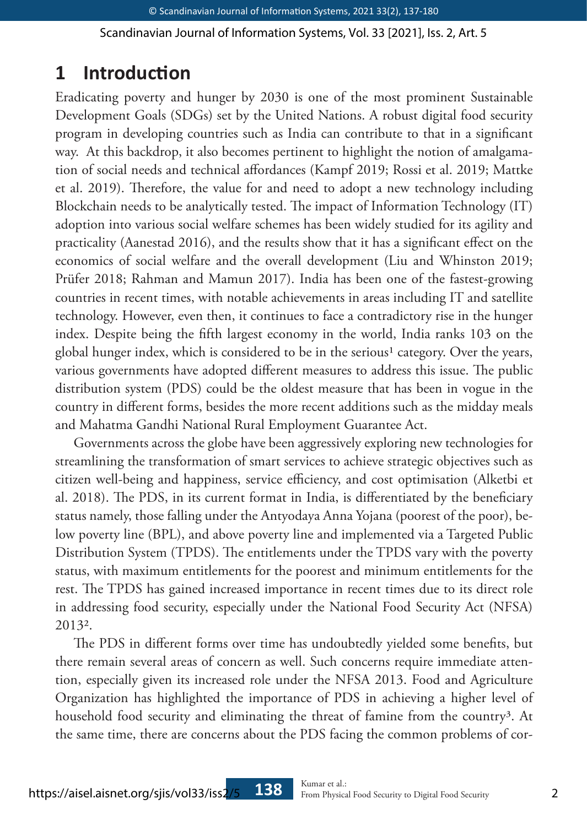# **1 Introduction**

Eradicating poverty and hunger by 2030 is one of the most prominent Sustainable Development Goals (SDGs) set by the United Nations. A robust digital food security program in developing countries such as India can contribute to that in a significant way. At this backdrop, it also becomes pertinent to highlight the notion of amalgamation of social needs and technical affordances (Kampf 2019; Rossi et al. 2019; Mattke et al. 2019). Therefore, the value for and need to adopt a new technology including Blockchain needs to be analytically tested. The impact of Information Technology (IT) adoption into various social welfare schemes has been widely studied for its agility and practicality (Aanestad 2016), and the results show that it has a significant effect on the economics of social welfare and the overall development (Liu and Whinston 2019; Prüfer 2018; Rahman and Mamun 2017). India has been one of the fastest-growing countries in recent times, with notable achievements in areas including IT and satellite technology. However, even then, it continues to face a contradictory rise in the hunger index. Despite being the fifth largest economy in the world, India ranks 103 on the global hunger index, which is considered to be in the serious<sup>1</sup> category. Over the years, various governments have adopted different measures to address this issue. The public distribution system (PDS) could be the oldest measure that has been in vogue in the country in different forms, besides the more recent additions such as the midday meals and Mahatma Gandhi National Rural Employment Guarantee Act.

Governments across the globe have been aggressively exploring new technologies for streamlining the transformation of smart services to achieve strategic objectives such as citizen well-being and happiness, service efficiency, and cost optimisation (Alketbi et al. 2018). The PDS, in its current format in India, is differentiated by the beneficiary status namely, those falling under the Antyodaya Anna Yojana (poorest of the poor), below poverty line (BPL), and above poverty line and implemented via a Targeted Public Distribution System (TPDS). The entitlements under the TPDS vary with the poverty status, with maximum entitlements for the poorest and minimum entitlements for the rest. The TPDS has gained increased importance in recent times due to its direct role in addressing food security, especially under the National Food Security Act (NFSA) 20132.

The PDS in different forms over time has undoubtedly yielded some benefits, but there remain several areas of concern as well. Such concerns require immediate attention, especially given its increased role under the NFSA 2013. Food and Agriculture Organization has highlighted the importance of PDS in achieving a higher level of household food security and eliminating the threat of famine from the country<sup>3</sup>. At the same time, there are concerns about the PDS facing the common problems of cor-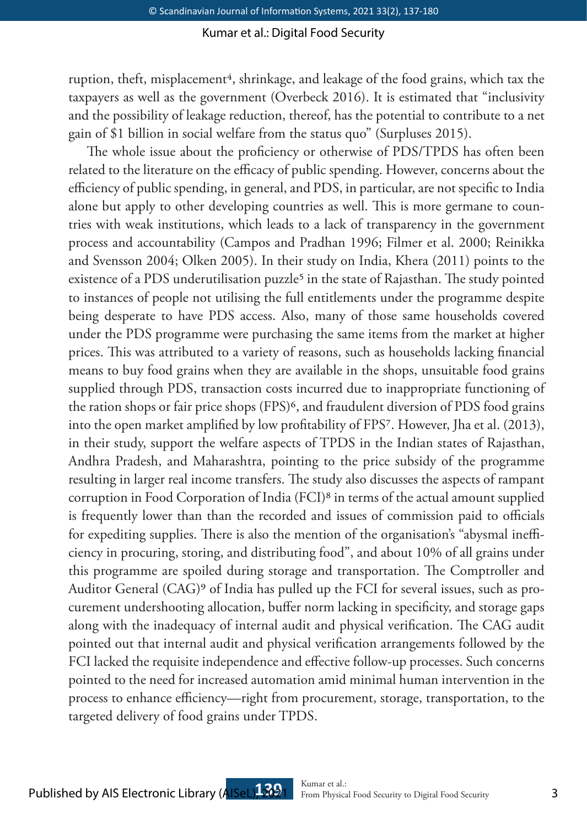ruption, theft, misplacement<sup>4</sup>, shrinkage, and leakage of the food grains, which tax the taxpayers as well as the government (Overbeck 2016). It is estimated that "inclusivity and the possibility of leakage reduction, thereof, has the potential to contribute to a net gain of \$1 billion in social welfare from the status quo" (Surpluses 2015).

The whole issue about the proficiency or otherwise of PDS/TPDS has often been related to the literature on the efficacy of public spending. However, concerns about the efficiency of public spending, in general, and PDS, in particular, are not specific to India alone but apply to other developing countries as well. This is more germane to countries with weak institutions, which leads to a lack of transparency in the government process and accountability (Campos and Pradhan 1996; Filmer et al. 2000; Reinikka and Svensson 2004; Olken 2005). In their study on India, Khera (2011) points to the existence of a PDS underutilisation puzzle<sup>5</sup> in the state of Rajasthan. The study pointed to instances of people not utilising the full entitlements under the programme despite being desperate to have PDS access. Also, many of those same households covered under the PDS programme were purchasing the same items from the market at higher prices. This was attributed to a variety of reasons, such as households lacking financial means to buy food grains when they are available in the shops, unsuitable food grains supplied through PDS, transaction costs incurred due to inappropriate functioning of the ration shops or fair price shops (FPS)<sup>6</sup>, and fraudulent diversion of PDS food grains into the open market amplified by low profitability of FPS7. However, Jha et al. (2013), in their study, support the welfare aspects of TPDS in the Indian states of Rajasthan, Andhra Pradesh, and Maharashtra, pointing to the price subsidy of the programme resulting in larger real income transfers. The study also discusses the aspects of rampant corruption in Food Corporation of India (FCI)8 in terms of the actual amount supplied is frequently lower than than the recorded and issues of commission paid to officials for expediting supplies. There is also the mention of the organisation's "abysmal inefficiency in procuring, storing, and distributing food", and about 10% of all grains under this programme are spoiled during storage and transportation. The Comptroller and Auditor General (CAG)9 of India has pulled up the FCI for several issues, such as procurement undershooting allocation, buffer norm lacking in specificity, and storage gaps along with the inadequacy of internal audit and physical verification. The CAG audit pointed out that internal audit and physical verification arrangements followed by the FCI lacked the requisite independence and effective follow-up processes. Such concerns pointed to the need for increased automation amid minimal human intervention in the process to enhance efficiency—right from procurement, storage, transportation, to the targeted delivery of food grains under TPDS.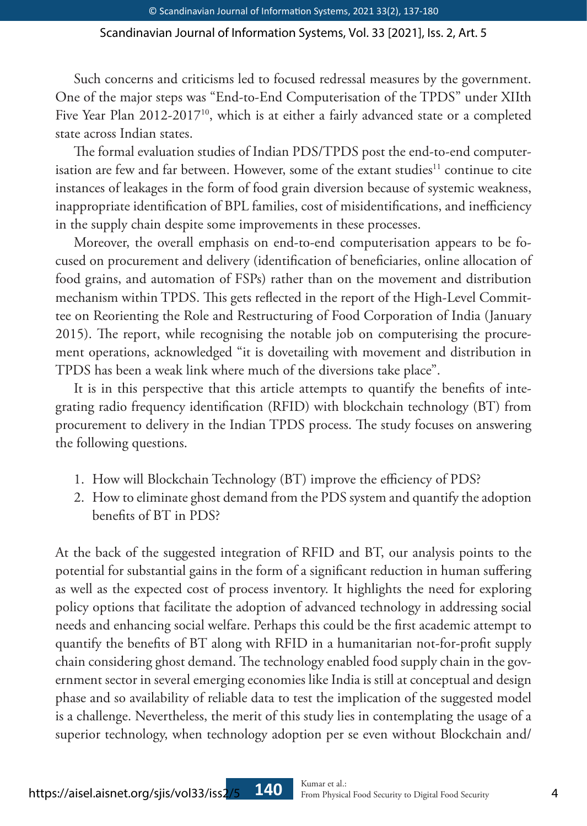Such concerns and criticisms led to focused redressal measures by the government. One of the major steps was "End-to-End Computerisation of the TPDS" under XIIth Five Year Plan 2012-2017<sup>10</sup>, which is at either a fairly advanced state or a completed state across Indian states.

The formal evaluation studies of Indian PDS/TPDS post the end-to-end computerisation are few and far between. However, some of the extant studies<sup>11</sup> continue to cite instances of leakages in the form of food grain diversion because of systemic weakness, inappropriate identification of BPL families, cost of misidentifications, and inefficiency in the supply chain despite some improvements in these processes.

Moreover, the overall emphasis on end-to-end computerisation appears to be focused on procurement and delivery (identification of beneficiaries, online allocation of food grains, and automation of FSPs) rather than on the movement and distribution mechanism within TPDS. This gets reflected in the report of the High-Level Committee on Reorienting the Role and Restructuring of Food Corporation of India (January 2015). The report, while recognising the notable job on computerising the procurement operations, acknowledged "it is dovetailing with movement and distribution in TPDS has been a weak link where much of the diversions take place".

It is in this perspective that this article attempts to quantify the benefits of integrating radio frequency identification (RFID) with blockchain technology (BT) from procurement to delivery in the Indian TPDS process. The study focuses on answering the following questions.

- 1. How will Blockchain Technology (BT) improve the efficiency of PDS?
- 2. How to eliminate ghost demand from the PDS system and quantify the adoption benefits of BT in PDS?

At the back of the suggested integration of RFID and BT, our analysis points to the potential for substantial gains in the form of a significant reduction in human suffering as well as the expected cost of process inventory. It highlights the need for exploring policy options that facilitate the adoption of advanced technology in addressing social needs and enhancing social welfare. Perhaps this could be the first academic attempt to quantify the benefits of BT along with RFID in a humanitarian not-for-profit supply chain considering ghost demand. The technology enabled food supply chain in the government sector in several emerging economies like India is still at conceptual and design phase and so availability of reliable data to test the implication of the suggested model is a challenge. Nevertheless, the merit of this study lies in contemplating the usage of a superior technology, when technology adoption per se even without Blockchain and/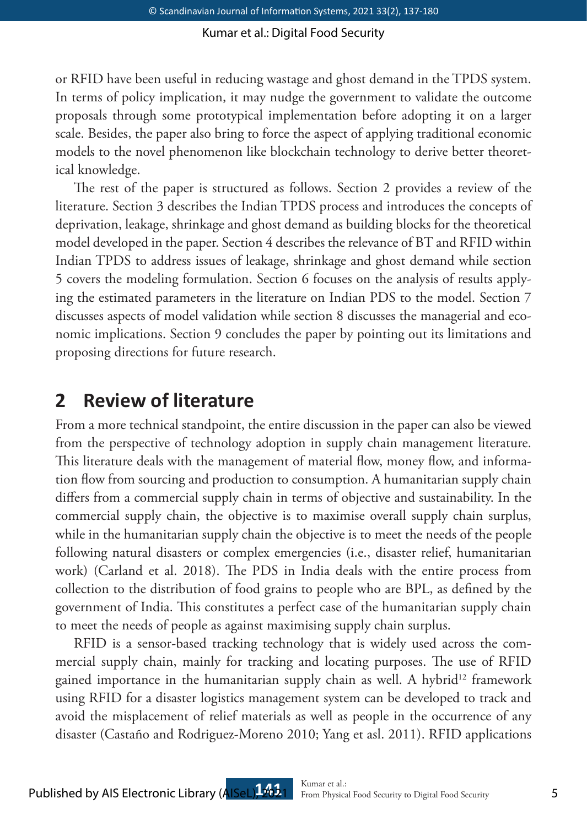or RFID have been useful in reducing wastage and ghost demand in the TPDS system. In terms of policy implication, it may nudge the government to validate the outcome proposals through some prototypical implementation before adopting it on a larger scale. Besides, the paper also bring to force the aspect of applying traditional economic models to the novel phenomenon like blockchain technology to derive better theoretical knowledge.

The rest of the paper is structured as follows. Section 2 provides a review of the literature. Section 3 describes the Indian TPDS process and introduces the concepts of deprivation, leakage, shrinkage and ghost demand as building blocks for the theoretical model developed in the paper. Section 4 describes the relevance of BT and RFID within Indian TPDS to address issues of leakage, shrinkage and ghost demand while section 5 covers the modeling formulation. Section 6 focuses on the analysis of results applying the estimated parameters in the literature on Indian PDS to the model. Section 7 discusses aspects of model validation while section 8 discusses the managerial and economic implications. Section 9 concludes the paper by pointing out its limitations and proposing directions for future research.

# **2 Review of literature**

From a more technical standpoint, the entire discussion in the paper can also be viewed from the perspective of technology adoption in supply chain management literature. This literature deals with the management of material flow, money flow, and information flow from sourcing and production to consumption. A humanitarian supply chain differs from a commercial supply chain in terms of objective and sustainability. In the commercial supply chain, the objective is to maximise overall supply chain surplus, while in the humanitarian supply chain the objective is to meet the needs of the people following natural disasters or complex emergencies (i.e., disaster relief, humanitarian work) (Carland et al. 2018). The PDS in India deals with the entire process from collection to the distribution of food grains to people who are BPL, as defined by the government of India. This constitutes a perfect case of the humanitarian supply chain to meet the needs of people as against maximising supply chain surplus.

RFID is a sensor-based tracking technology that is widely used across the commercial supply chain, mainly for tracking and locating purposes. The use of RFID gained importance in the humanitarian supply chain as well. A hybrid<sup>12</sup> framework using RFID for a disaster logistics management system can be developed to track and avoid the misplacement of relief materials as well as people in the occurrence of any disaster (Castaño and Rodriguez-Moreno 2010; Yang et asl. 2011). RFID applications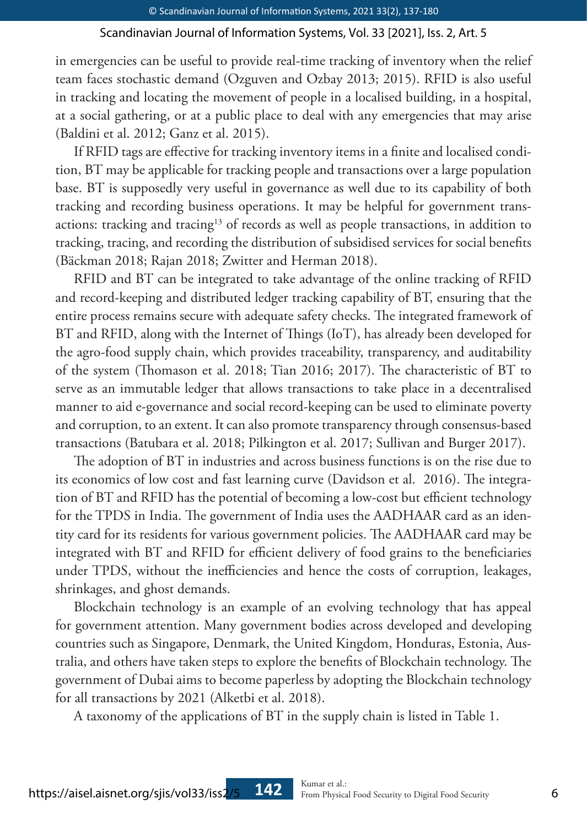in emergencies can be useful to provide real-time tracking of inventory when the relief team faces stochastic demand (Ozguven and Ozbay 2013; 2015). RFID is also useful in tracking and locating the movement of people in a localised building, in a hospital, at a social gathering, or at a public place to deal with any emergencies that may arise (Baldini et al. 2012; Ganz et al. 2015).

If RFID tags are effective for tracking inventory items in a finite and localised condition, BT may be applicable for tracking people and transactions over a large population base. BT is supposedly very useful in governance as well due to its capability of both tracking and recording business operations. It may be helpful for government transactions: tracking and tracing<sup>13</sup> of records as well as people transactions, in addition to tracking, tracing, and recording the distribution of subsidised services for social benefits (Bäckman 2018; Rajan 2018; Zwitter and Herman 2018).

RFID and BT can be integrated to take advantage of the online tracking of RFID and record-keeping and distributed ledger tracking capability of BT, ensuring that the entire process remains secure with adequate safety checks. The integrated framework of BT and RFID, along with the Internet of Things (IoT), has already been developed for the agro-food supply chain, which provides traceability, transparency, and auditability of the system (Thomason et al. 2018; Tian 2016; 2017). The characteristic of BT to serve as an immutable ledger that allows transactions to take place in a decentralised manner to aid e-governance and social record-keeping can be used to eliminate poverty and corruption, to an extent. It can also promote transparency through consensus-based transactions (Batubara et al. 2018; Pilkington et al. 2017; Sullivan and Burger 2017).

The adoption of BT in industries and across business functions is on the rise due to its economics of low cost and fast learning curve (Davidson et al. 2016). The integration of BT and RFID has the potential of becoming a low-cost but efficient technology for the TPDS in India. The government of India uses the AADHAAR card as an identity card for its residents for various government policies. The AADHAAR card may be integrated with BT and RFID for efficient delivery of food grains to the beneficiaries under TPDS, without the inefficiencies and hence the costs of corruption, leakages, shrinkages, and ghost demands.

Blockchain technology is an example of an evolving technology that has appeal for government attention. Many government bodies across developed and developing countries such as Singapore, Denmark, the United Kingdom, Honduras, Estonia, Australia, and others have taken steps to explore the benefits of Blockchain technology. The government of Dubai aims to become paperless by adopting the Blockchain technology for all transactions by 2021 (Alketbi et al. 2018).

A taxonomy of the applications of BT in the supply chain is listed in Table 1.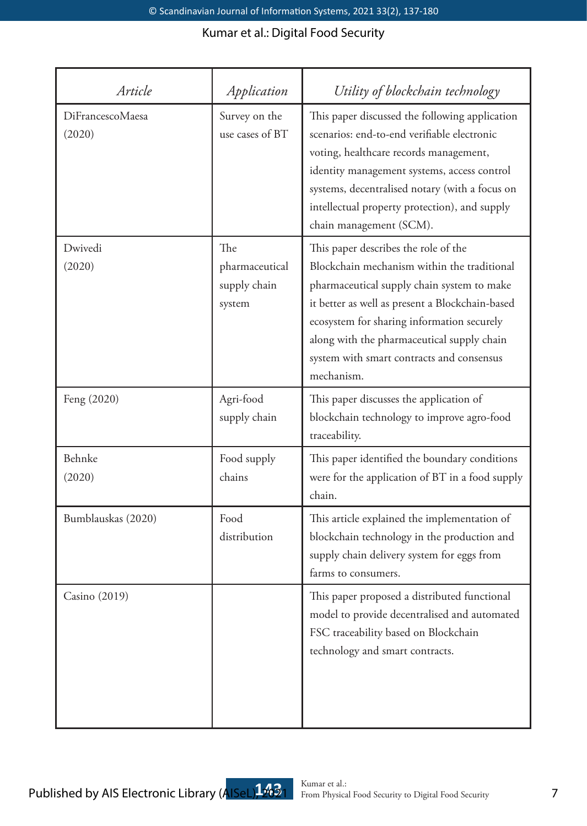| Article                    | Application                                     | Utility of blockchain technology                                                                                                                                                                                                                                                                                                            |
|----------------------------|-------------------------------------------------|---------------------------------------------------------------------------------------------------------------------------------------------------------------------------------------------------------------------------------------------------------------------------------------------------------------------------------------------|
| DiFrancescoMaesa<br>(2020) | Survey on the<br>use cases of BT                | This paper discussed the following application<br>scenarios: end-to-end verifiable electronic<br>voting, healthcare records management,<br>identity management systems, access control<br>systems, decentralised notary (with a focus on<br>intellectual property protection), and supply<br>chain management (SCM).                        |
| Dwivedi<br>(2020)          | The<br>pharmaceutical<br>supply chain<br>system | This paper describes the role of the<br>Blockchain mechanism within the traditional<br>pharmaceutical supply chain system to make<br>it better as well as present a Blockchain-based<br>ecosystem for sharing information securely<br>along with the pharmaceutical supply chain<br>system with smart contracts and consensus<br>mechanism. |
| Feng (2020)                | Agri-food<br>supply chain                       | This paper discusses the application of<br>blockchain technology to improve agro-food<br>traceability.                                                                                                                                                                                                                                      |
| Behnke<br>(2020)           | Food supply<br>chains                           | This paper identified the boundary conditions<br>were for the application of BT in a food supply<br>chain.                                                                                                                                                                                                                                  |
| Bumblauskas (2020)         | Food<br>distribution                            | This article explained the implementation of<br>blockchain technology in the production and<br>supply chain delivery system for eggs from<br>farms to consumers.                                                                                                                                                                            |
| Casino (2019)              |                                                 | This paper proposed a distributed functional<br>model to provide decentralised and automated<br>FSC traceability based on Blockchain<br>technology and smart contracts.                                                                                                                                                                     |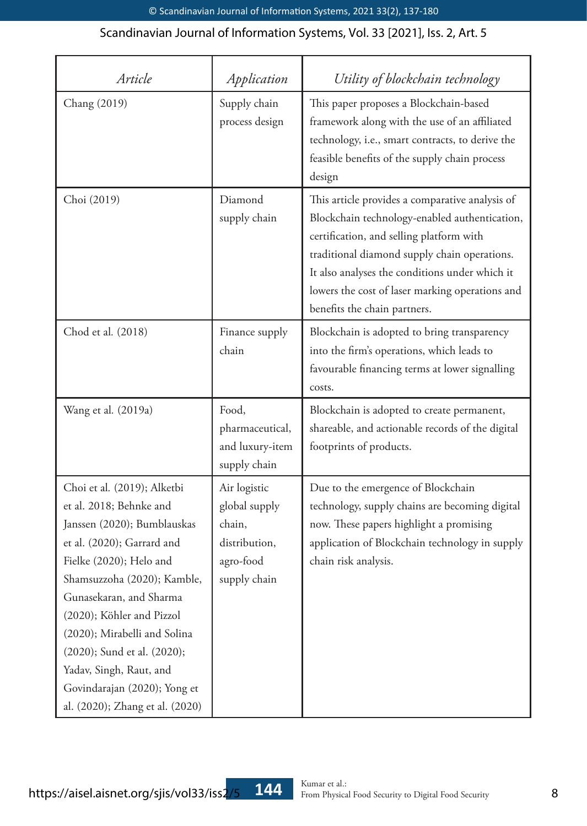| Article                                                                                                                                                                                                                                                                                                                                                                                            | Application                                                                           | Utility of blockchain technology                                                                                                                                                                                                                                                                                                  |
|----------------------------------------------------------------------------------------------------------------------------------------------------------------------------------------------------------------------------------------------------------------------------------------------------------------------------------------------------------------------------------------------------|---------------------------------------------------------------------------------------|-----------------------------------------------------------------------------------------------------------------------------------------------------------------------------------------------------------------------------------------------------------------------------------------------------------------------------------|
| Chang (2019)                                                                                                                                                                                                                                                                                                                                                                                       | Supply chain<br>process design                                                        | This paper proposes a Blockchain-based<br>framework along with the use of an affiliated<br>technology, i.e., smart contracts, to derive the<br>feasible benefits of the supply chain process<br>design                                                                                                                            |
| Choi (2019)                                                                                                                                                                                                                                                                                                                                                                                        | Diamond<br>supply chain                                                               | This article provides a comparative analysis of<br>Blockchain technology-enabled authentication,<br>certification, and selling platform with<br>traditional diamond supply chain operations.<br>It also analyses the conditions under which it<br>lowers the cost of laser marking operations and<br>benefits the chain partners. |
| Chod et al. (2018)                                                                                                                                                                                                                                                                                                                                                                                 | Finance supply<br>chain                                                               | Blockchain is adopted to bring transparency<br>into the firm's operations, which leads to<br>favourable financing terms at lower signalling<br>costs.                                                                                                                                                                             |
| Wang et al. (2019a)                                                                                                                                                                                                                                                                                                                                                                                | Food,<br>pharmaceutical,<br>and luxury-item<br>supply chain                           | Blockchain is adopted to create permanent,<br>shareable, and actionable records of the digital<br>footprints of products.                                                                                                                                                                                                         |
| Choi et al. (2019); Alketbi<br>et al. 2018; Behnke and<br>Janssen (2020); Bumblauskas<br>et al. (2020); Garrard and<br>Fielke (2020); Helo and<br>Shamsuzzoha (2020); Kamble,<br>Gunasekaran, and Sharma<br>(2020); Köhler and Pizzol<br>(2020); Mirabelli and Solina<br>(2020); Sund et al. (2020);<br>Yadav, Singh, Raut, and<br>Govindarajan (2020); Yong et<br>al. (2020); Zhang et al. (2020) | Air logistic<br>global supply<br>chain,<br>distribution,<br>agro-food<br>supply chain | Due to the emergence of Blockchain<br>technology, supply chains are becoming digital<br>now. These papers highlight a promising<br>application of Blockchain technology in supply<br>chain risk analysis.                                                                                                                         |

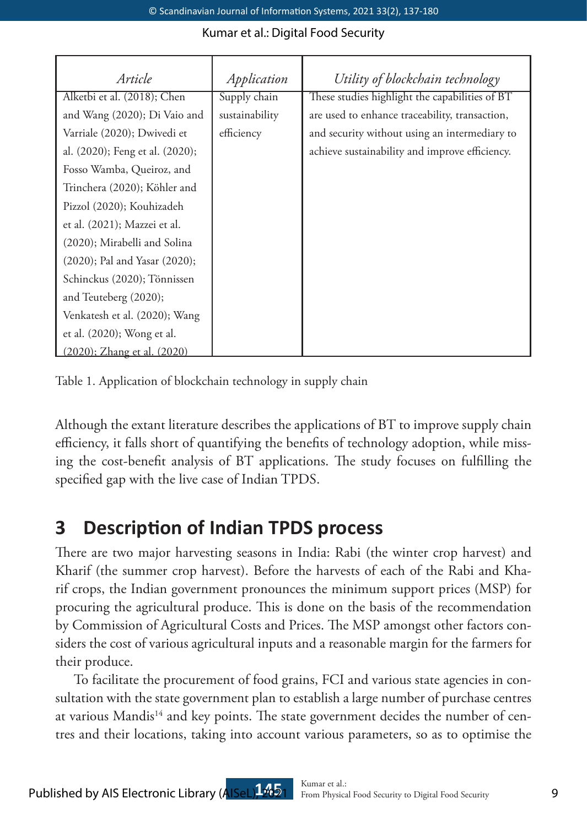| Article                         | Application    | Utility of blockchain technology               |
|---------------------------------|----------------|------------------------------------------------|
| Alketbi et al. (2018); Chen     | Supply chain   | These studies highlight the capabilities of BT |
| and Wang (2020); Di Vaio and    | sustainability | are used to enhance traceability, transaction, |
| Varriale (2020); Dwivedi et     | efficiency     | and security without using an intermediary to  |
| al. (2020); Feng et al. (2020); |                | achieve sustainability and improve efficiency. |
| Fosso Wamba, Queiroz, and       |                |                                                |
| Trinchera (2020); Köhler and    |                |                                                |
| Pizzol (2020); Kouhizadeh       |                |                                                |
| et al. (2021); Mazzei et al.    |                |                                                |
| (2020); Mirabelli and Solina    |                |                                                |
| (2020); Pal and Yasar (2020);   |                |                                                |
| Schinckus (2020); Tönnissen     |                |                                                |
| and Teuteberg (2020);           |                |                                                |
| Venkatesh et al. (2020); Wang   |                |                                                |
| et al. (2020); Wong et al.      |                |                                                |
| (2020): Zhang et al. (2020)     |                |                                                |

Table 1. Application of blockchain technology in supply chain

Although the extant literature describes the applications of BT to improve supply chain efficiency, it falls short of quantifying the benefits of technology adoption, while missing the cost-benefit analysis of BT applications. The study focuses on fulfilling the specified gap with the live case of Indian TPDS.

# **3 Description of Indian TPDS process**

There are two major harvesting seasons in India: Rabi (the winter crop harvest) and Kharif (the summer crop harvest). Before the harvests of each of the Rabi and Kharif crops, the Indian government pronounces the minimum support prices (MSP) for procuring the agricultural produce. This is done on the basis of the recommendation by Commission of Agricultural Costs and Prices. The MSP amongst other factors considers the cost of various agricultural inputs and a reasonable margin for the farmers for their produce.

To facilitate the procurement of food grains, FCI and various state agencies in consultation with the state government plan to establish a large number of purchase centres at various Mandis<sup>14</sup> and key points. The state government decides the number of centres and their locations, taking into account various parameters, so as to optimise the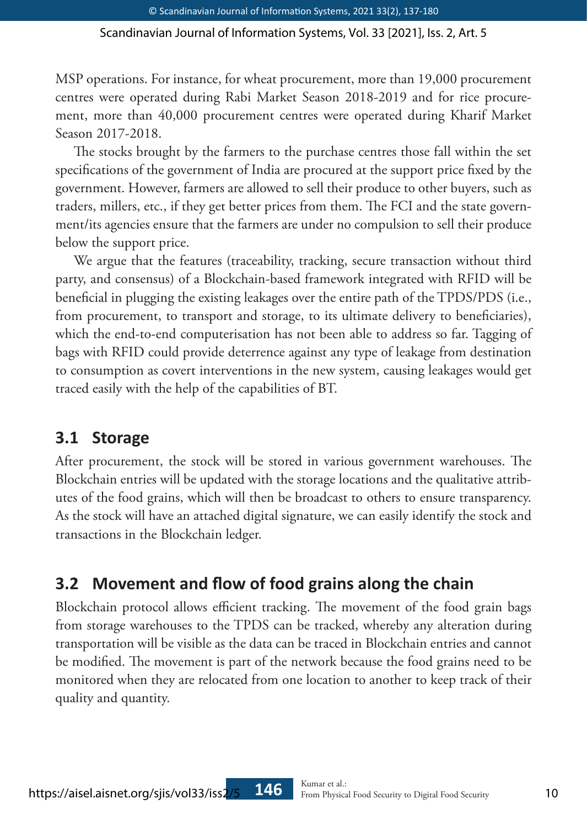MSP operations. For instance, for wheat procurement, more than 19,000 procurement centres were operated during Rabi Market Season 2018-2019 and for rice procurement, more than 40,000 procurement centres were operated during Kharif Market Season 2017-2018.

The stocks brought by the farmers to the purchase centres those fall within the set specifications of the government of India are procured at the support price fixed by the government. However, farmers are allowed to sell their produce to other buyers, such as traders, millers, etc., if they get better prices from them. The FCI and the state government/its agencies ensure that the farmers are under no compulsion to sell their produce below the support price.

We argue that the features (traceability, tracking, secure transaction without third party, and consensus) of a Blockchain-based framework integrated with RFID will be beneficial in plugging the existing leakages over the entire path of the TPDS/PDS (i.e., from procurement, to transport and storage, to its ultimate delivery to beneficiaries), which the end-to-end computerisation has not been able to address so far. Tagging of bags with RFID could provide deterrence against any type of leakage from destination to consumption as covert interventions in the new system, causing leakages would get traced easily with the help of the capabilities of BT.

## **3.1 Storage**

After procurement, the stock will be stored in various government warehouses. The Blockchain entries will be updated with the storage locations and the qualitative attributes of the food grains, which will then be broadcast to others to ensure transparency. As the stock will have an attached digital signature, we can easily identify the stock and transactions in the Blockchain ledger.

## **3.2 Movement and flow of food grains along the chain**

Blockchain protocol allows efficient tracking. The movement of the food grain bags from storage warehouses to the TPDS can be tracked, whereby any alteration during transportation will be visible as the data can be traced in Blockchain entries and cannot be modified. The movement is part of the network because the food grains need to be monitored when they are relocated from one location to another to keep track of their quality and quantity.

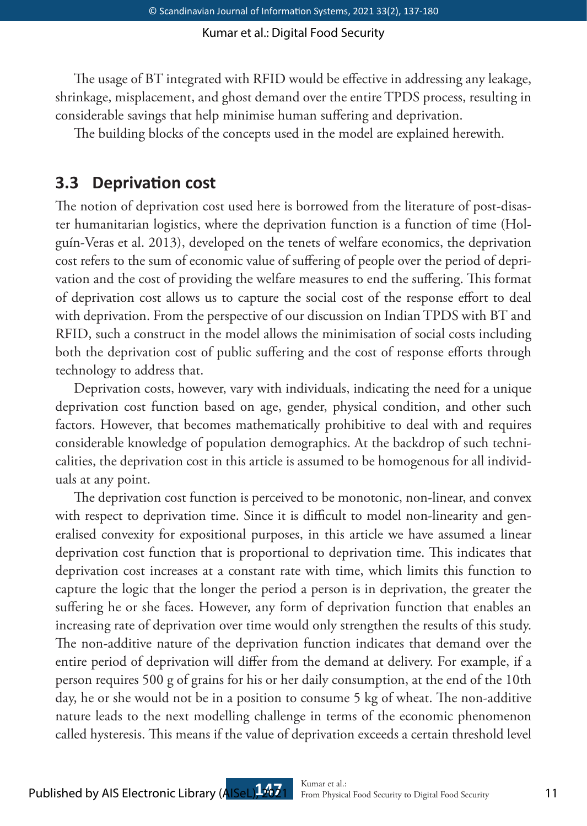The usage of BT integrated with RFID would be effective in addressing any leakage, shrinkage, misplacement, and ghost demand over the entire TPDS process, resulting in considerable savings that help minimise human suffering and deprivation.

The building blocks of the concepts used in the model are explained herewith.

## **3.3 Deprivation cost**

The notion of deprivation cost used here is borrowed from the literature of post-disaster humanitarian logistics, where the deprivation function is a function of time (Holguín-Veras et al. 2013), developed on the tenets of welfare economics, the deprivation cost refers to the sum of economic value of suffering of people over the period of deprivation and the cost of providing the welfare measures to end the suffering. This format of deprivation cost allows us to capture the social cost of the response effort to deal with deprivation. From the perspective of our discussion on Indian TPDS with BT and RFID, such a construct in the model allows the minimisation of social costs including both the deprivation cost of public suffering and the cost of response efforts through technology to address that.

Deprivation costs, however, vary with individuals, indicating the need for a unique deprivation cost function based on age, gender, physical condition, and other such factors. However, that becomes mathematically prohibitive to deal with and requires considerable knowledge of population demographics. At the backdrop of such technicalities, the deprivation cost in this article is assumed to be homogenous for all individuals at any point.

The deprivation cost function is perceived to be monotonic, non-linear, and convex with respect to deprivation time. Since it is difficult to model non-linearity and generalised convexity for expositional purposes, in this article we have assumed a linear deprivation cost function that is proportional to deprivation time. This indicates that deprivation cost increases at a constant rate with time, which limits this function to capture the logic that the longer the period a person is in deprivation, the greater the suffering he or she faces. However, any form of deprivation function that enables an increasing rate of deprivation over time would only strengthen the results of this study. The non-additive nature of the deprivation function indicates that demand over the entire period of deprivation will differ from the demand at delivery. For example, if a person requires 500 g of grains for his or her daily consumption, at the end of the 10th day, he or she would not be in a position to consume 5 kg of wheat. The non-additive nature leads to the next modelling challenge in terms of the economic phenomenon called hysteresis. This means if the value of deprivation exceeds a certain threshold level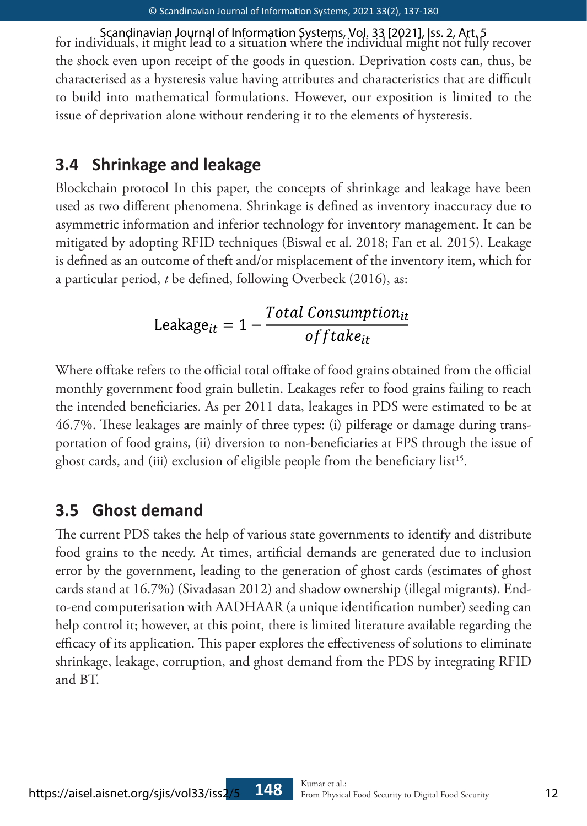for individuals, it might lead to a situation where the individual might not fully recover Scandinavian Journal of Information Systems, Vol. 33 [2021], Iss. 2, Art. 5 the shock even upon receipt of the goods in question. Deprivation costs can, thus, be characterised as a hysteresis value having attributes and characteristics that are difficult to build into mathematical formulations. However, our exposition is limited to the issue of deprivation alone without rendering it to the elements of hysteresis.

## **3.4 Shrinkage and leakage**

Blockchain protocol In this paper, the concepts of shrinkage and leakage have been used as two different phenomena. Shrinkage is defined as inventory inaccuracy due to asymmetric information and inferior technology for inventory management. It can be mitigated by adopting RFID techniques (Biswal et al. 2018; Fan et al. 2015). Leakage is defined as an outcome of theft and/or misplacement of the inventory item, which for a particular period, *t* be defined, following Overbeck (2016), as:

$$
Leakage_{it} = 1 - \frac{Total \, Consumption_{it}}{offsetake_{it}}
$$

Where offtake refers to the official total offtake of food grains obtained from the official monthly government food grain bulletin. Leakages refer to food grains failing to reach the intended beneficiaries. As per 2011 data, leakages in PDS were estimated to be at 46.7%. These leakages are mainly of three types: (i) pilferage or damage during transportation of food grains, (ii) diversion to non-beneficiaries at FPS through the issue of ghost cards, and (iii) exclusion of eligible people from the beneficiary list<sup>15</sup>.

## **3.5 Ghost demand**

The current PDS takes the help of various state governments to identify and distribute food grains to the needy. At times, artificial demands are generated due to inclusion error by the government, leading to the generation of ghost cards (estimates of ghost cards stand at 16.7%) (Sivadasan 2012) and shadow ownership (illegal migrants). Endto-end computerisation with AADHAAR (a unique identification number) seeding can help control it; however, at this point, there is limited literature available regarding the efficacy of its application. This paper explores the effectiveness of solutions to eliminate shrinkage, leakage, corruption, and ghost demand from the PDS by integrating RFID and BT.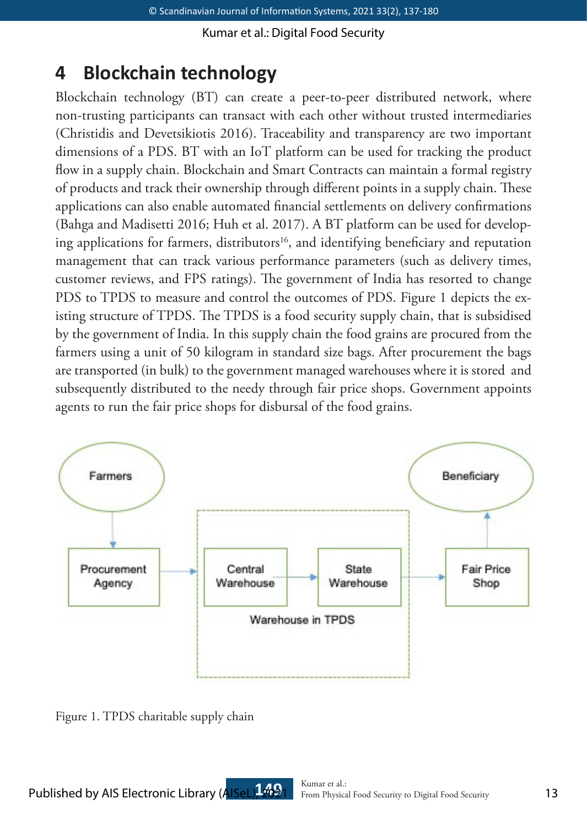# **4 Blockchain technology**

Blockchain technology (BT) can create a peer-to-peer distributed network, where non-trusting participants can transact with each other without trusted intermediaries (Christidis and Devetsikiotis 2016). Traceability and transparency are two important dimensions of a PDS. BT with an IoT platform can be used for tracking the product flow in a supply chain. Blockchain and Smart Contracts can maintain a formal registry of products and track their ownership through different points in a supply chain. These applications can also enable automated financial settlements on delivery confirmations (Bahga and Madisetti 2016; Huh et al. 2017). A BT platform can be used for developing applications for farmers, distributors<sup>16</sup>, and identifying beneficiary and reputation management that can track various performance parameters (such as delivery times, customer reviews, and FPS ratings). The government of India has resorted to change PDS to TPDS to measure and control the outcomes of PDS. Figure 1 depicts the existing structure of TPDS. The TPDS is a food security supply chain, that is subsidised by the government of India. In this supply chain the food grains are procured from the farmers using a unit of 50 kilogram in standard size bags. After procurement the bags are transported (in bulk) to the government managed warehouses where it is stored and subsequently distributed to the needy through fair price shops. Government appoints agents to run the fair price shops for disbursal of the food grains.



Figure 1. TPDS charitable supply chain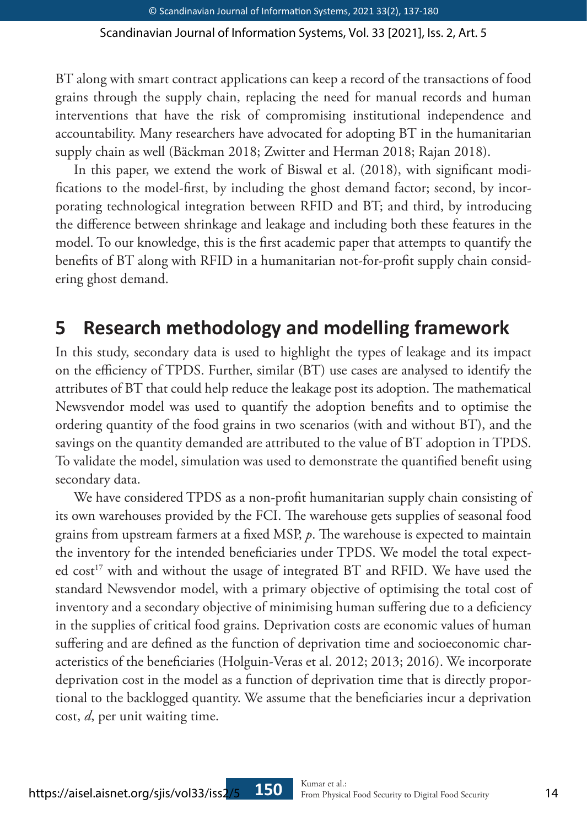BT along with smart contract applications can keep a record of the transactions of food grains through the supply chain, replacing the need for manual records and human interventions that have the risk of compromising institutional independence and accountability. Many researchers have advocated for adopting BT in the humanitarian supply chain as well (Bäckman 2018; Zwitter and Herman 2018; Rajan 2018).

In this paper, we extend the work of Biswal et al. (2018), with significant modifications to the model-first, by including the ghost demand factor; second, by incorporating technological integration between RFID and BT; and third, by introducing the difference between shrinkage and leakage and including both these features in the model. To our knowledge, this is the first academic paper that attempts to quantify the benefits of BT along with RFID in a humanitarian not-for-profit supply chain considering ghost demand.

## **5 Research methodology and modelling framework**

In this study, secondary data is used to highlight the types of leakage and its impact on the efficiency of TPDS. Further, similar (BT) use cases are analysed to identify the attributes of BT that could help reduce the leakage post its adoption. The mathematical Newsvendor model was used to quantify the adoption benefits and to optimise the ordering quantity of the food grains in two scenarios (with and without BT), and the savings on the quantity demanded are attributed to the value of BT adoption in TPDS. To validate the model, simulation was used to demonstrate the quantified benefit using secondary data.

We have considered TPDS as a non-profit humanitarian supply chain consisting of its own warehouses provided by the FCI. The warehouse gets supplies of seasonal food grains from upstream farmers at a fixed MSP, *p*. The warehouse is expected to maintain the inventory for the intended beneficiaries under TPDS. We model the total expected cost<sup>17</sup> with and without the usage of integrated BT and RFID. We have used the standard Newsvendor model, with a primary objective of optimising the total cost of inventory and a secondary objective of minimising human suffering due to a deficiency in the supplies of critical food grains. Deprivation costs are economic values of human suffering and are defined as the function of deprivation time and socioeconomic characteristics of the beneficiaries (Holguin-Veras et al. 2012; 2013; 2016). We incorporate deprivation cost in the model as a function of deprivation time that is directly proportional to the backlogged quantity. We assume that the beneficiaries incur a deprivation cost, *d*, per unit waiting time.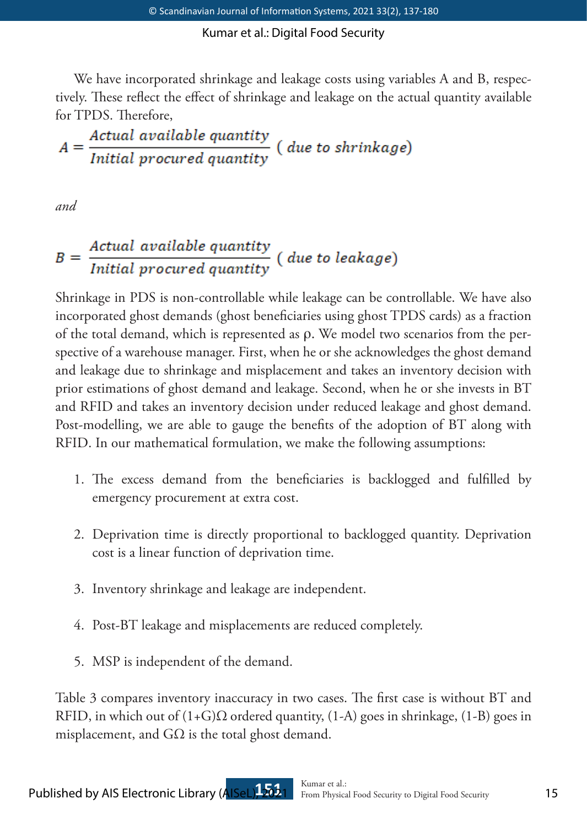We have incorporated shrinkage and leakage costs using variables A and B, respectively. These reflect the effect of shrinkage and leakage on the actual quantity available for TPDS. Therefore,

$$
A = \frac{Actual\ available\ quantity}{Initial\ procedure\ quantity} \ ( \ due\ to\ shrinkage)
$$

*and*

# $B = \frac{Actual\ available\ quantity}{Initial\ procedure\ d\ quantity}$  (due to leakage)

Shrinkage in PDS is non-controllable while leakage can be controllable. We have also incorporated ghost demands (ghost beneficiaries using ghost TPDS cards) as a fraction of the total demand, which is represented as ρ. We model two scenarios from the perspective of a warehouse manager. First, when he or she acknowledges the ghost demand and leakage due to shrinkage and misplacement and takes an inventory decision with prior estimations of ghost demand and leakage. Second, when he or she invests in BT and RFID and takes an inventory decision under reduced leakage and ghost demand. Post-modelling, we are able to gauge the benefits of the adoption of BT along with RFID. In our mathematical formulation, we make the following assumptions:

- 1. The excess demand from the beneficiaries is backlogged and fulfilled by emergency procurement at extra cost.
- 2. Deprivation time is directly proportional to backlogged quantity. Deprivation cost is a linear function of deprivation time.
- 3. Inventory shrinkage and leakage are independent.
- 4. Post-BT leakage and misplacements are reduced completely.
- 5. MSP is independent of the demand.

Table 3 compares inventory inaccuracy in two cases. The first case is without BT and RFID, in which out of  $(1+G)\Omega$  ordered quantity,  $(1-A)$  goes in shrinkage,  $(1-B)$  goes in misplacement, and  $G\Omega$  is the total ghost demand.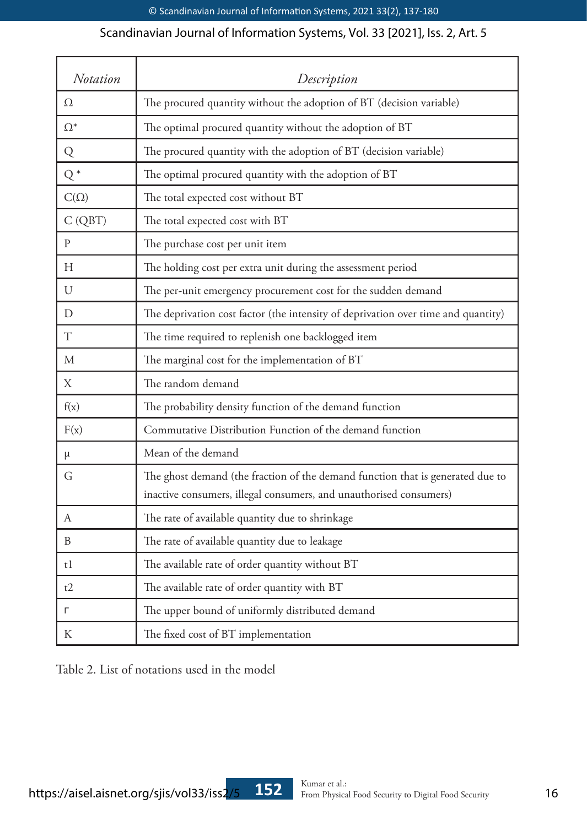| Notation    | Description                                                                                                                                          |
|-------------|------------------------------------------------------------------------------------------------------------------------------------------------------|
| Ω           | The procured quantity without the adoption of BT (decision variable)                                                                                 |
| $\Omega^*$  | The optimal procured quantity without the adoption of BT                                                                                             |
| Q           | The procured quantity with the adoption of BT (decision variable)                                                                                    |
| $Q^*$       | The optimal procured quantity with the adoption of BT                                                                                                |
| $C(\Omega)$ | The total expected cost without BT                                                                                                                   |
| C(QBT)      | The total expected cost with BT                                                                                                                      |
| P           | The purchase cost per unit item                                                                                                                      |
| H           | The holding cost per extra unit during the assessment period                                                                                         |
| U           | The per-unit emergency procurement cost for the sudden demand                                                                                        |
| D           | The deprivation cost factor (the intensity of deprivation over time and quantity)                                                                    |
| T           | The time required to replenish one backlogged item                                                                                                   |
| М           | The marginal cost for the implementation of BT                                                                                                       |
| Χ           | The random demand                                                                                                                                    |
| f(x)        | The probability density function of the demand function                                                                                              |
| F(x)        | Commutative Distribution Function of the demand function                                                                                             |
| μ           | Mean of the demand                                                                                                                                   |
| G           | The ghost demand (the fraction of the demand function that is generated due to<br>inactive consumers, illegal consumers, and unauthorised consumers) |
| A           | The rate of available quantity due to shrinkage                                                                                                      |
| B           | The rate of available quantity due to leakage                                                                                                        |
| t1          | The available rate of order quantity without BT                                                                                                      |
| t2          | The available rate of order quantity with BT                                                                                                         |
| г           | The upper bound of uniformly distributed demand                                                                                                      |
| К           | The fixed cost of BT implementation                                                                                                                  |

Table 2. List of notations used in the model

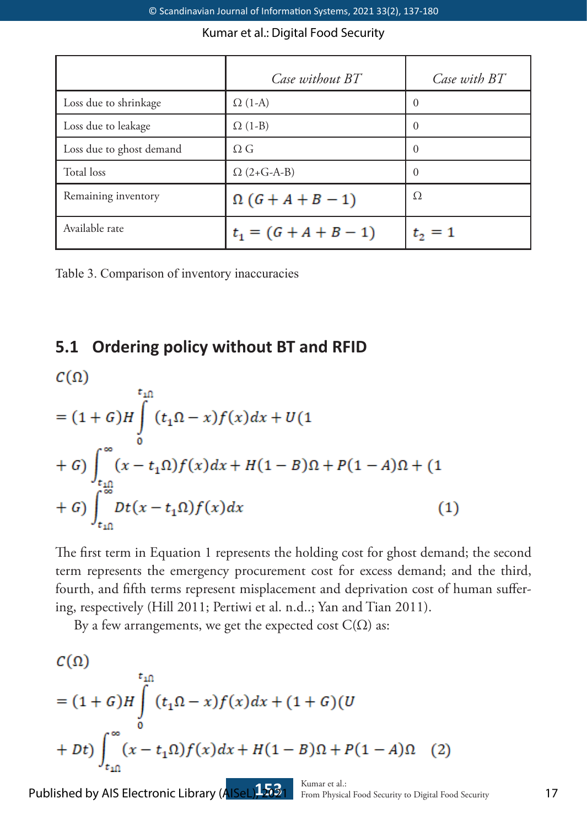|                          | Case without BT          | Case with BT |
|--------------------------|--------------------------|--------------|
| Loss due to shrinkage    | $\Omega$ (1-A)           | $\Omega$     |
| Loss due to leakage      | $\Omega$ (1-B)           | $\Omega$     |
| Loss due to ghost demand | $\Omega G$               | $\theta$     |
| Total loss               | $\Omega$ (2+G-A-B)       | $\theta$     |
| Remaining inventory      | $\Omega$ (G + A + B - 1) | Ω            |
| Available rate           | $t_1 = (G + A + B - 1)$  | $t_2 = 1$    |

Table 3. Comparison of inventory inaccuracies

## **5.1 Ordering policy without BT and RFID**

$$
C(\Omega)
$$
  
=  $(1 + G)H \int_{0}^{t_{1}\Omega} (t_{1}\Omega - x)f(x)dx + U(1 + G) \int_{t_{1}\Omega}^{\infty} (x - t_{1}\Omega)f(x)dx + H(1 - B)\Omega + P(1 - A)\Omega + (1 + G) \int_{t_{1}\Omega}^{\infty} Dt(x - t_{1}\Omega)f(x)dx$  (1)

The first term in Equation 1 represents the holding cost for ghost demand; the second term represents the emergency procurement cost for excess demand; and the third, fourth, and fifth terms represent misplacement and deprivation cost of human suffering, respectively (Hill 2011; Pertiwi et al. n.d..; Yan and Tian 2011).

By a few arrangements, we get the expected cost  $C(\Omega)$  as:

$$
C(\Omega)
$$
  
=  $(1 + G)H \int_{0}^{t_{1}\Omega} (t_{1}\Omega - x)f(x)dx + (1 + G)(U + Dt) \int_{t_{1}\Omega}^{\infty} (x - t_{1}\Omega)f(x)dx + H(1 - B)\Omega + P(1 - A)\Omega$  (2)

Published by AIS Electronic Library (AISeL)12021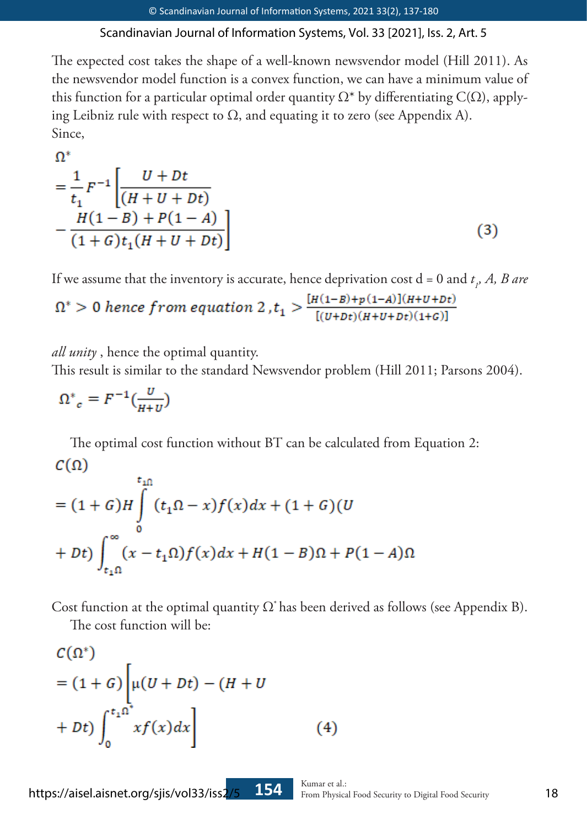The expected cost takes the shape of a well-known newsvendor model (Hill 2011). As the newsvendor model function is a convex function, we can have a minimum value of this function for a particular optimal order quantity  $\Omega^*$  by differentiating C( $\Omega$ ), applying Leibniz rule with respect to  $\Omega$ , and equating it to zero (see Appendix A). Since,

$$
\frac{1}{t_1}F^{-1}\left[\frac{U+Dt}{(H+U+Dt)} - \frac{H(1-B) + P(1-A)}{(1+G)t_1(H+U+Dt)}\right]
$$
\n(3)

If we assume that the inventory is accurate, hence deprivation cost  $d = 0$  and  $t<sub>1</sub>$ , A, B are

$$
\Omega^*>0\text{ hence from equation }2\,,t_1> \frac{[H(1-B)+p(1-A)](H+U+Dt)}{[(U+Dt)(H+U+Dt)(1+C)]}
$$

*all unity* , hence the optimal quantity.

This result is similar to the standard Newsvendor problem (Hill 2011; Parsons 2004).

$$
\Omega^*_{c} = F^{-1}(\frac{v}{H+U})
$$

 $\mathbf{a}^*$ 

The optimal cost function without BT can be calculated from Equation 2:  $C(\Omega)$ 

$$
= (1+G)H \int_{0}^{t_{10}} (t_{1}\Omega - x)f(x)dx + (1+G)(U + Dt) \int_{t_{10}}^{\infty} (x-t_{1}\Omega)f(x)dx + H(1-B)\Omega + P(1-A)\Omega
$$

Cost function at the optimal quantity  $\Omega^*$  has been derived as follows (see Appendix B).

The cost function will be:

$$
C(\Omega^*)
$$
  
=  $(1 + G)$ 
$$
\left[\mu(U + Dt) - (H + U)
$$

$$
+ Dt\right)\int_0^{t_1 \Omega^*} x f(x) dx
$$
 (4)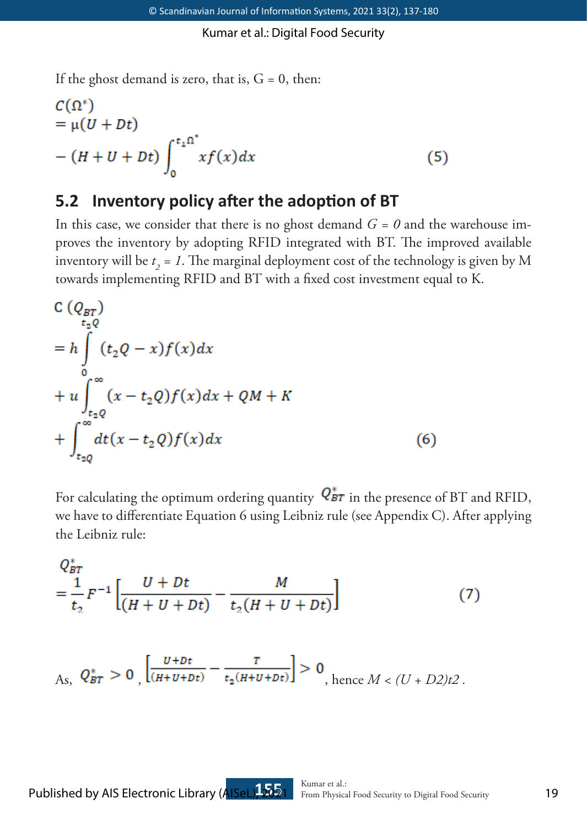If the ghost demand is zero, that is,  $G = 0$ , then:

$$
C(\Omega^*)
$$
  
=  $\mu(U + Dt)$   
-  $(H + U + Dt) \int_0^{t_1 \Omega^*} x f(x) dx$  (5)

## **5.2 Inventory policy after the adoption of BT**

In this case, we consider that there is no ghost demand  $G = 0$  and the warehouse improves the inventory by adopting RFID integrated with BT. The improved available inventory will be  $t_2 = 1$ . The marginal deployment cost of the technology is given by M towards implementing RFID and BT with a fixed cost investment equal to K.

$$
C(Q_{BT})
$$
  
\n
$$
= h \int_{0}^{a} (t_2 Q - x) f(x) dx
$$
  
\n
$$
+ u \int_{t_2 Q}^{\infty} (x - t_2 Q) f(x) dx + QM + K
$$
  
\n
$$
+ \int_{t_2 Q}^{\infty} dt (x - t_2 Q) f(x) dx
$$
\n(6)

For calculating the optimum ordering quantity  $Q_{BT}^*$  in the presence of BT and RFID, we have to differentiate Equation 6 using Leibniz rule (see Appendix C). After applying the Leibniz rule:

$$
Q_{BT}^{*}
$$
  
=  $\frac{1}{t_2}F^{-1}\left[\frac{U+Dt}{(H+U+Dt)} - \frac{M}{t_2(H+U+Dt)}\right]$  (7)

$$
A_{\mathcal{S}},\ Q_{BT}^* > 0\Big| \frac{U + Dt}{(H + U + Dt)} - \frac{T}{t_2(H + U + Dt)} \Big| > 0\Big|_{\text{hence } M < (U + D2)t^2}.
$$

Published by AIS Electronic Library (AISeL), 2021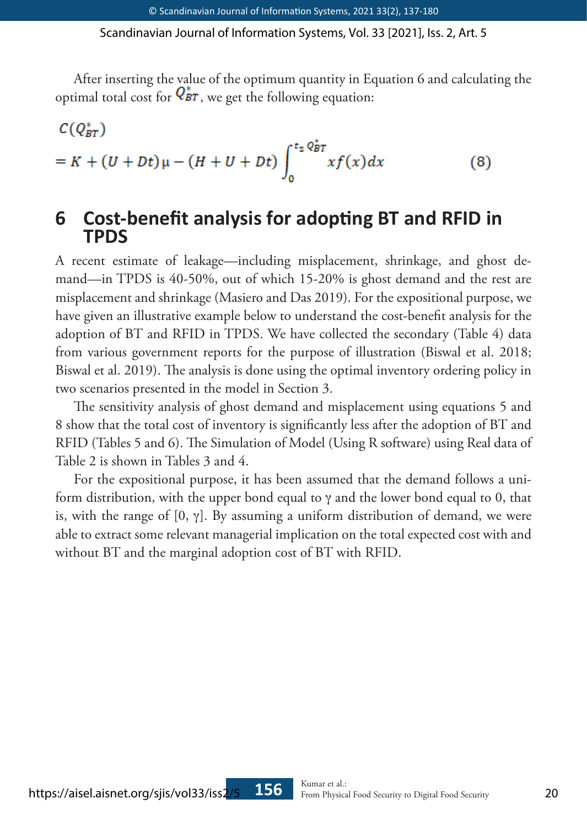After inserting the value of the optimum quantity in Equation 6 and calculating the optimal total cost for  $Q_{BT}^*$ , we get the following equation:

$$
C(Q_{BT}^*)
$$
  
= K + (U + Dt)\mu - (H + U + Dt)\int\_0^{t\_2 Q\_{BT}^\*} x f(x) dx \t\t(8)

## **6 Cost-benefit analysis for adopting BT and RFID in TPDS**

A recent estimate of leakage—including misplacement, shrinkage, and ghost demand—in TPDS is 40-50%, out of which 15-20% is ghost demand and the rest are misplacement and shrinkage (Masiero and Das 2019). For the expositional purpose, we have given an illustrative example below to understand the cost-benefit analysis for the adoption of BT and RFID in TPDS. We have collected the secondary (Table 4) data from various government reports for the purpose of illustration (Biswal et al. 2018; Biswal et al. 2019). The analysis is done using the optimal inventory ordering policy in two scenarios presented in the model in Section 3.

The sensitivity analysis of ghost demand and misplacement using equations 5 and 8 show that the total cost of inventory is significantly less after the adoption of BT and RFID (Tables 5 and 6). The Simulation of Model (Using R software) using Real data of Table 2 is shown in Tables 3 and 4.

For the expositional purpose, it has been assumed that the demand follows a uniform distribution, with the upper bond equal to γ and the lower bond equal to 0, that is, with the range of  $[0, \gamma]$ . By assuming a uniform distribution of demand, we were able to extract some relevant managerial implication on the total expected cost with and without BT and the marginal adoption cost of BT with RFID.

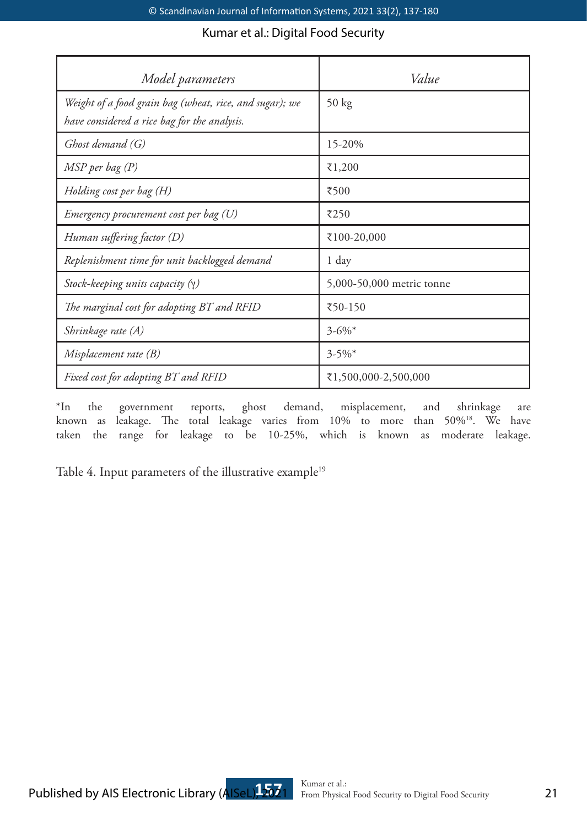| Model parameters                                                                                        | Value                     |
|---------------------------------------------------------------------------------------------------------|---------------------------|
| Weight of a food grain bag (wheat, rice, and sugar); we<br>have considered a rice bag for the analysis. | 50 kg                     |
| Ghost demand (G)                                                                                        | 15-20%                    |
| MSP per bag (P)                                                                                         | ₹1,200                    |
| Holding cost per bag (H)                                                                                | ₹500                      |
| Emergency procurement cost per bag (U)                                                                  | ₹250                      |
| Human suffering factor (D)                                                                              | ₹100-20,000               |
| Replenishment time for unit backlogged demand                                                           | 1 day                     |
| Stock-keeping units capacity $(\gamma)$                                                                 | 5,000-50,000 metric tonne |
| The marginal cost for adopting BT and RFID                                                              | ₹50-150                   |
| Shrinkage rate (A)                                                                                      | $3 - 6\%$ *               |
| Misplacement rate (B)                                                                                   | $3 - 5\%$                 |
| Fixed cost for adopting BT and RFID                                                                     | ₹1,500,000-2,500,000      |

\*In the government reports, ghost demand, misplacement, and shrinkage are known as leakage. The total leakage varies from 10% to more than 50%18. We have taken the range for leakage to be 10-25%, which is known as moderate leakage.

Table 4. Input parameters of the illustrative example<sup>19</sup>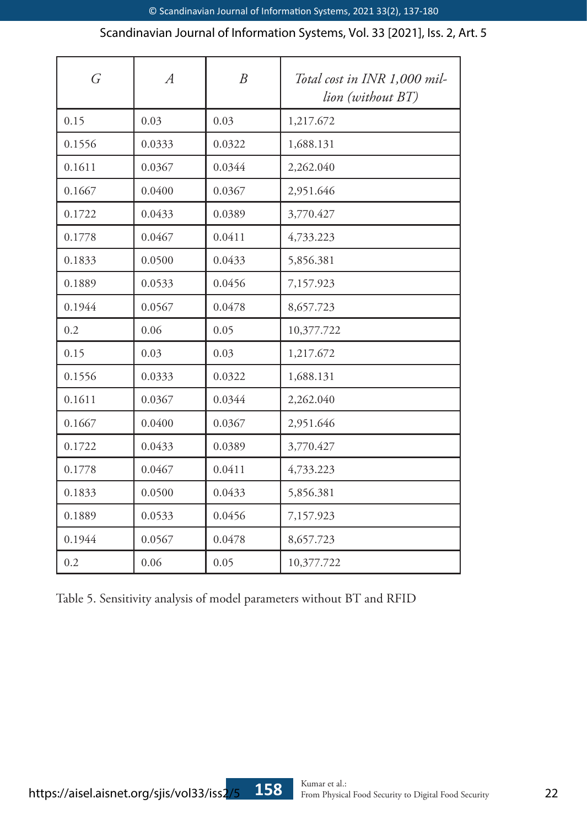| $\overline{G}$ | $\overline{A}$ | $\overline{B}$ | Total cost in INR 1,000 mil-<br>lion (without BT) |
|----------------|----------------|----------------|---------------------------------------------------|
| 0.15           | 0.03           | 0.03           | 1,217.672                                         |
| 0.1556         | 0.0333         | 0.0322         | 1,688.131                                         |
| 0.1611         | 0.0367         | 0.0344         | 2,262.040                                         |
| 0.1667         | 0.0400         | 0.0367         | 2,951.646                                         |
| 0.1722         | 0.0433         | 0.0389         | 3,770.427                                         |
| 0.1778         | 0.0467         | 0.0411         | 4,733.223                                         |
| 0.1833         | 0.0500         | 0.0433         | 5,856.381                                         |
| 0.1889         | 0.0533         | 0.0456         | 7,157.923                                         |
| 0.1944         | 0.0567         | 0.0478         | 8,657.723                                         |
| 0.2            | 0.06           | 0.05           | 10,377.722                                        |
| 0.15           | 0.03           | 0.03           | 1,217.672                                         |
| 0.1556         | 0.0333         | 0.0322         | 1,688.131                                         |
| 0.1611         | 0.0367         | 0.0344         | 2,262.040                                         |
| 0.1667         | 0.0400         | 0.0367         | 2,951.646                                         |
| 0.1722         | 0.0433         | 0.0389         | 3,770.427                                         |
| 0.1778         | 0.0467         | 0.0411         | 4,733.223                                         |
| 0.1833         | 0.0500         | 0.0433         | 5,856.381                                         |
| 0.1889         | 0.0533         | 0.0456         | 7,157.923                                         |
| 0.1944         | 0.0567         | 0.0478         | 8,657.723                                         |
| 0.2            | 0.06           | 0.05           | 10,377.722                                        |

Table 5. Sensitivity analysis of model parameters without BT and RFID

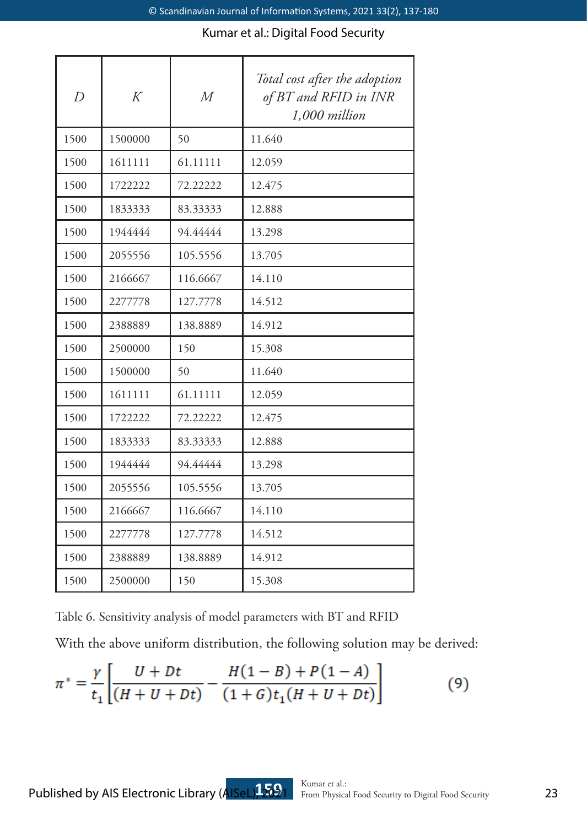| $\overline{D}$ | K       | $\overline{M}$ | Total cost after the adoption<br>of BT and RFID in INR<br>1,000 million |
|----------------|---------|----------------|-------------------------------------------------------------------------|
| 1500           | 1500000 | 50             | 11.640                                                                  |
| 1500           | 1611111 | 61.11111       | 12.059                                                                  |
| 1500           | 1722222 | 72.22222       | 12.475                                                                  |
| 1500           | 1833333 | 83.33333       | 12.888                                                                  |
| 1500           | 1944444 | 94.44444       | 13.298                                                                  |
| 1500           | 2055556 | 105.5556       | 13.705                                                                  |
| 1500           | 2166667 | 116.6667       | 14.110                                                                  |
| 1500           | 2277778 | 127.7778       | 14.512                                                                  |
| 1500           | 2388889 | 138.8889       | 14.912                                                                  |
| 1500           | 2500000 | 150            | 15.308                                                                  |
| 1500           | 1500000 | 50             | 11.640                                                                  |
| 1500           | 1611111 | 61.11111       | 12.059                                                                  |
| 1500           | 1722222 | 72.22222       | 12.475                                                                  |
| 1500           | 1833333 | 83.33333       | 12.888                                                                  |
| 1500           | 1944444 | 94.44444       | 13.298                                                                  |
| 1500           | 2055556 | 105.5556       | 13.705                                                                  |
| 1500           | 2166667 | 116.6667       | 14.110                                                                  |
| 1500           | 2277778 | 127.7778       | 14.512                                                                  |
| 1500           | 2388889 | 138.8889       | 14.912                                                                  |
| 1500           | 2500000 | 150            | 15.308                                                                  |

Table 6. Sensitivity analysis of model parameters with BT and RFID

With the above uniform distribution, the following solution may be derived:

$$
\pi^* = \frac{\gamma}{t_1} \left[ \frac{U + Dt}{(H + U + Dt)} - \frac{H(1 - B) + P(1 - A)}{(1 + G)t_1(H + U + Dt)} \right] \tag{9}
$$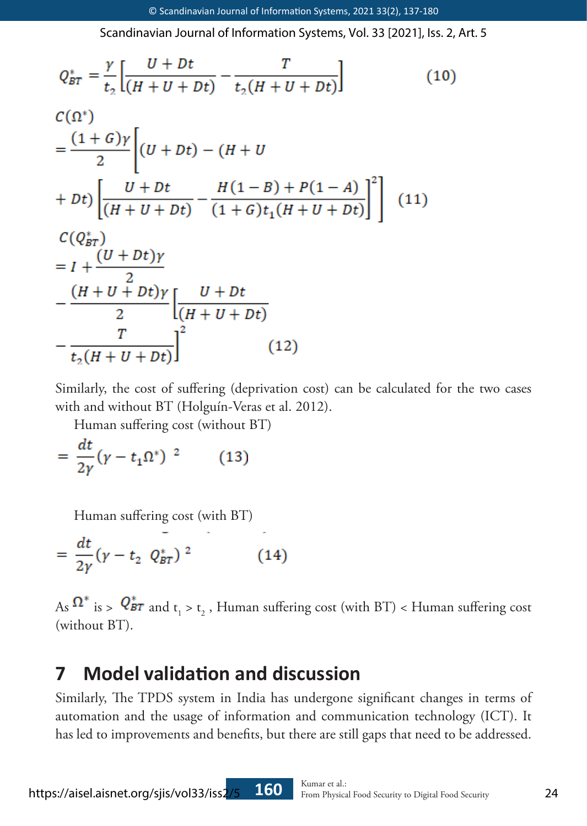$$
Q_{BT}^{*} = \frac{\gamma}{t_{2}} \left[ \frac{U + Dt}{(H + U + Dt)} - \frac{T}{t_{2}(H + U + Dt)} \right]
$$
(10)  
\n
$$
C(\Omega^{*})
$$
  
\n
$$
= \frac{(1 + G)\gamma}{2} \left[ (U + Dt) - (H + U + Dt) \right]
$$
  
\n
$$
+ Dt \left[ \frac{U + Dt}{(H + U + Dt)} - \frac{H(1 - B) + P(1 - A)}{(1 + G)t_{1}(H + U + Dt)} \right]^{2} \right]
$$
(11)  
\n
$$
C(Q_{BT}^{*})
$$
  
\n
$$
= I + \frac{(U + Dt)\gamma}{2} \left[ \frac{U + Dt}{(H + U + Dt)} - \frac{T}{2} \right]^{2} \qquad (12)
$$

Similarly, the cost of suffering (deprivation cost) can be calculated for the two cases with and without BT (Holguín-Veras et al. 2012).

Human suffering cost (without BT)

 $= \frac{dt}{2\nu} (\gamma - t_1 \Omega^*)^{-2}$  $(13)$ 

Human suffering cost (with BT)<br>=  $\frac{dt}{2\gamma} (\gamma - t_2 \ Q_{BT}^*)^2$  (14)

As  $\frac{d}{dt}$  is >  $\frac{d}{dt}$  and  $t_1 > t_2$ , Human suffering cost (with BT) < Human suffering cost (without BT).

# **7 Model validation and discussion**

Similarly, The TPDS system in India has undergone significant changes in terms of automation and the usage of information and communication technology (ICT). It has led to improvements and benefits, but there are still gaps that need to be addressed.

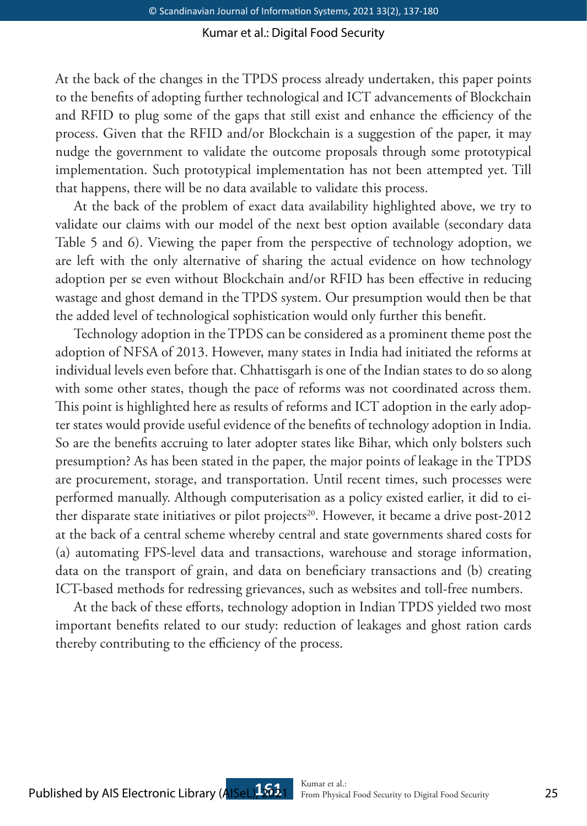At the back of the changes in the TPDS process already undertaken, this paper points to the benefits of adopting further technological and ICT advancements of Blockchain and RFID to plug some of the gaps that still exist and enhance the efficiency of the process. Given that the RFID and/or Blockchain is a suggestion of the paper, it may nudge the government to validate the outcome proposals through some prototypical implementation. Such prototypical implementation has not been attempted yet. Till that happens, there will be no data available to validate this process.

At the back of the problem of exact data availability highlighted above, we try to validate our claims with our model of the next best option available (secondary data Table 5 and 6). Viewing the paper from the perspective of technology adoption, we are left with the only alternative of sharing the actual evidence on how technology adoption per se even without Blockchain and/or RFID has been effective in reducing wastage and ghost demand in the TPDS system. Our presumption would then be that the added level of technological sophistication would only further this benefit.

Technology adoption in the TPDS can be considered as a prominent theme post the adoption of NFSA of 2013. However, many states in India had initiated the reforms at individual levels even before that. Chhattisgarh is one of the Indian states to do so along with some other states, though the pace of reforms was not coordinated across them. This point is highlighted here as results of reforms and ICT adoption in the early adopter states would provide useful evidence of the benefits of technology adoption in India. So are the benefits accruing to later adopter states like Bihar, which only bolsters such presumption? As has been stated in the paper, the major points of leakage in the TPDS are procurement, storage, and transportation. Until recent times, such processes were performed manually. Although computerisation as a policy existed earlier, it did to either disparate state initiatives or pilot projects<sup>20</sup>. However, it became a drive post-2012 at the back of a central scheme whereby central and state governments shared costs for (a) automating FPS-level data and transactions, warehouse and storage information, data on the transport of grain, and data on beneficiary transactions and (b) creating ICT-based methods for redressing grievances, such as websites and toll-free numbers.

At the back of these efforts, technology adoption in Indian TPDS yielded two most important benefits related to our study: reduction of leakages and ghost ration cards thereby contributing to the efficiency of the process.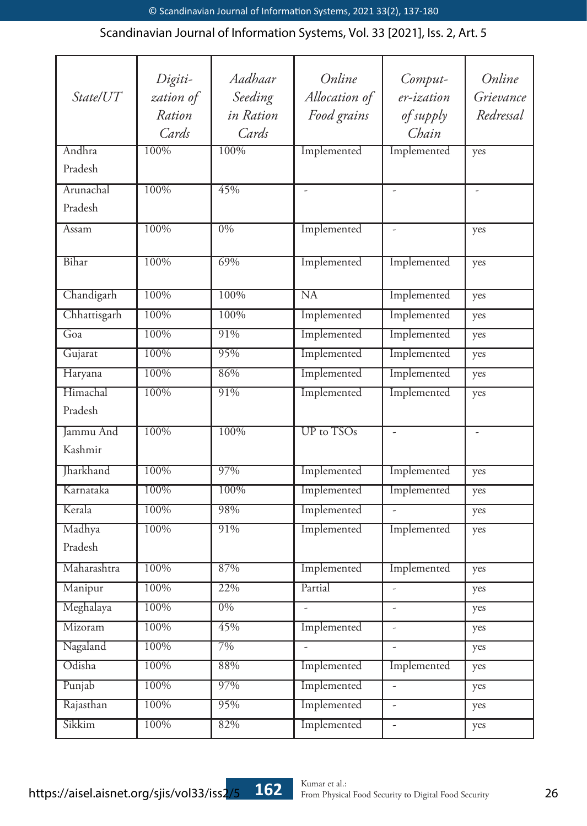|                  | Digiti-             | Aadhaar              | Online                 | Comput-                  | Online                 |
|------------------|---------------------|----------------------|------------------------|--------------------------|------------------------|
| State/UT         | zation of<br>Ration | Seeding<br>in Ration | Allocation of          | er-ization               | Grievance<br>Redressal |
|                  | Cards               | Cards                | Food grains            | of supply<br>Chain       |                        |
| Andhra           | 100%                | 100%                 | Implemented            | Implemented              |                        |
| Pradesh          |                     |                      |                        |                          | yes                    |
|                  |                     |                      |                        |                          |                        |
| Arunachal        | 100%                | 45%                  | L.                     | L.                       |                        |
| Pradesh          |                     |                      |                        |                          |                        |
| Assam            | 100%                | 0%                   | Implemented            | L                        | yes                    |
| Bihar            | 100%                | 69%                  | Implemented            | Implemented              | yes                    |
| Chandigarh       | 100%                | 100%                 | $\overline{\text{NA}}$ | Implemented              | yes                    |
| Chhattisgarh     | 100%                | 100%                 | Implemented            | Implemented              | yes                    |
| Goa              | 100%                | 91%                  | Implemented            | Implemented              | yes                    |
| Gujarat          | 100%                | 95%                  | Implemented            | Implemented              | yes                    |
| Haryana          | 100%                | 86%                  | Implemented            | Implemented              | yes                    |
| Himachal         | 100%                | 91%                  | Implemented            | Implemented              |                        |
| Pradesh          |                     |                      |                        |                          | yes                    |
|                  |                     |                      |                        |                          |                        |
| <b>Jammu</b> And | 100%                | 100%                 | UP to TSOs             | $\overline{a}$           | L.                     |
| Kashmir          |                     |                      |                        |                          |                        |
| Jharkhand        | 100%                | 97%                  | Implemented            | Implemented              | yes                    |
| Karnataka        | 100%                | 100%                 | Implemented            | Implemented              | yes                    |
| Kerala           | 100%                | 98%                  | Implemented            | $\overline{a}$           | yes                    |
| Madhya           | 100%                | 91%                  | Implemented            | Implemented              | yes                    |
| Pradesh          |                     |                      |                        |                          |                        |
| Maharashtra      | 100%                | 87%                  | Implemented            | Implemented              | yes                    |
| Manipur          | 100%                | 22%                  | Partial                | $\overline{a}$           | yes                    |
| Meghalaya        | 100%                | $0\%$                |                        | L,                       | yes                    |
| Mizoram          | 100%                | 45%                  | Implemented            | $\overline{a}$           | yes                    |
| Nagaland         | 100%                | 7%                   | ÷,                     | ÷,                       | yes                    |
| Odisha           | 100%                | 88%                  | Implemented            | Implemented              | yes                    |
| Punjab           | 100%                | 97%                  | Implemented            | $\overline{\phantom{a}}$ | yes                    |
| Rajasthan        | 100%                | 95%                  | Implemented            | ÷,                       | yes                    |
| Sikkim           | 100%                | 82%                  | Implemented            | $\overline{\phantom{a}}$ | yes                    |
|                  |                     |                      |                        |                          |                        |

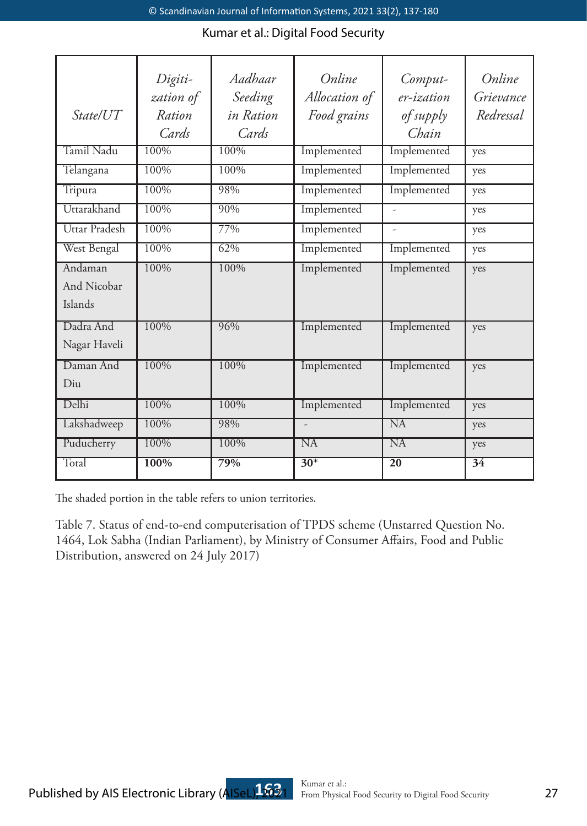|                    | Digiti-   | Aadhaar   | Online         | Comput-         | Online          |
|--------------------|-----------|-----------|----------------|-----------------|-----------------|
|                    | zation of | Seeding   | Allocation of  | er-ization      | Grievance       |
| State/UT           | Ration    | in Ration | Food grains    | of supply       | Redressal       |
|                    | Cards     | Cards     |                | Chain           |                 |
| Tamil Nadu         | 100%      | 100%      | Implemented    | Implemented     | yes             |
| Telangana          | 100%      | 100%      | Implemented    | Implemented     | yes             |
| Tripura            | 100%      | 98%       | Implemented    | Implemented     | yes             |
| Uttarakhand        | 100%      | 90%       | Implemented    |                 | yes             |
| Uttar Pradesh      | 100%      | 77%       | Implemented    |                 | yes             |
| West Bengal        | 100%      | 62%       | Implemented    | Implemented     | yes             |
| Andaman            | 100%      | $100\%$   | Implemented    | Implemented     | yes             |
| <b>And Nicobar</b> |           |           |                |                 |                 |
| Islands            |           |           |                |                 |                 |
| Dadra And          | 100%      | 96%       | Implemented    | Implemented     | yes             |
| Nagar Haveli       |           |           |                |                 |                 |
| Daman And          | 100%      | 100%      | Implemented    | Implemented     | yes             |
| $D_{11}$           |           |           |                |                 |                 |
| Delhi              | 100%      | 100%      | Implemented    | Implemented     | yes             |
| Lakshadweep        | $100\%$   | 98%       | $\overline{a}$ | NA              | yes             |
| Puducherry         | 100%      | 100%      | NA             | NA              | yes             |
| Total              | 100%      | 79%       | $30*$          | $\overline{20}$ | $\overline{34}$ |

The shaded portion in the table refers to union territories.

Table 7. Status of end-to-end computerisation of TPDS scheme (Unstarred Question No. 1464, Lok Sabha (Indian Parliament), by Ministry of Consumer Affairs, Food and Public Distribution, answered on 24 July 2017)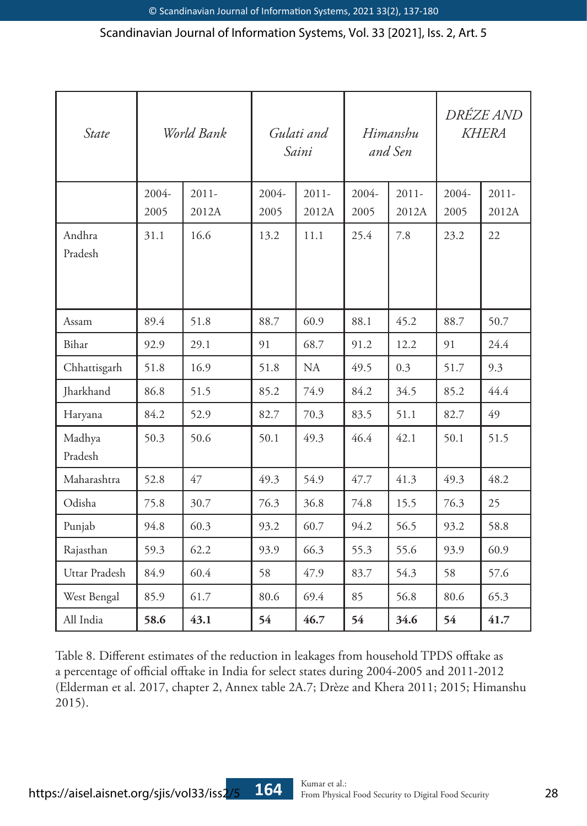| State             | World Bank |          | Gulati and<br>Saini |          | Himanshu<br>and Sen |          | <i>DRÉZE AND</i><br><b>KHERA</b> |          |
|-------------------|------------|----------|---------------------|----------|---------------------|----------|----------------------------------|----------|
|                   | $2004 -$   | $2011 -$ | $2004 -$            | $2011 -$ | $2004 -$            | $2011 -$ | $2004 -$                         | $2011 -$ |
|                   | 2005       | 2012A    | 2005                | 2012A    | 2005                | 2012A    | 2005                             | 2012A    |
| Andhra            | 31.1       | 16.6     | 13.2                | 11.1     | 25.4                | 7.8      | 23.2                             | 22       |
| Pradesh           |            |          |                     |          |                     |          |                                  |          |
|                   |            |          |                     |          |                     |          |                                  |          |
| Assam             | 89.4       | 51.8     | 88.7                | 60.9     | 88.1                | 45.2     | 88.7                             | 50.7     |
| Bihar             | 92.9       | 29.1     | 91                  | 68.7     | 91.2                | 12.2     | 91                               | 24.4     |
| Chhattisgarh      | 51.8       | 16.9     | 51.8                | NA       | 49.5                | 0.3      | 51.7                             | 9.3      |
| Jharkhand         | 86.8       | 51.5     | 85.2                | 74.9     | 84.2                | 34.5     | 85.2                             | 44.4     |
| Haryana           | 84.2       | 52.9     | 82.7                | 70.3     | 83.5                | 51.1     | 82.7                             | 49       |
| Madhya<br>Pradesh | 50.3       | 50.6     | 50.1                | 49.3     | 46.4                | 42.1     | 50.1                             | 51.5     |
|                   |            |          |                     |          |                     |          |                                  |          |
| Maharashtra       | 52.8       | 47       | 49.3                | 54.9     | 47.7                | 41.3     | 49.3                             | 48.2     |
| Odisha            | 75.8       | 30.7     | 76.3                | 36.8     | 74.8                | 15.5     | 76.3                             | 25       |
| Punjab            | 94.8       | 60.3     | 93.2                | 60.7     | 94.2                | 56.5     | 93.2                             | 58.8     |
| Rajasthan         | 59.3       | 62.2     | 93.9                | 66.3     | 55.3                | 55.6     | 93.9                             | 60.9     |
| Uttar Pradesh     | 84.9       | 60.4     | 58                  | 47.9     | 83.7                | 54.3     | 58                               | 57.6     |
| West Bengal       | 85.9       | 61.7     | 80.6                | 69.4     | 85                  | 56.8     | 80.6                             | 65.3     |
| All India         | 58.6       | 43.1     | 54                  | 46.7     | 54                  | 34.6     | 54                               | 41.7     |

Table 8. Different estimates of the reduction in leakages from household TPDS offtake as a percentage of official offtake in India for select states during 2004-2005 and 2011-2012 (Elderman et al. 2017, chapter 2, Annex table 2A.7; Drèze and Khera 2011; 2015; Himanshu 2015).

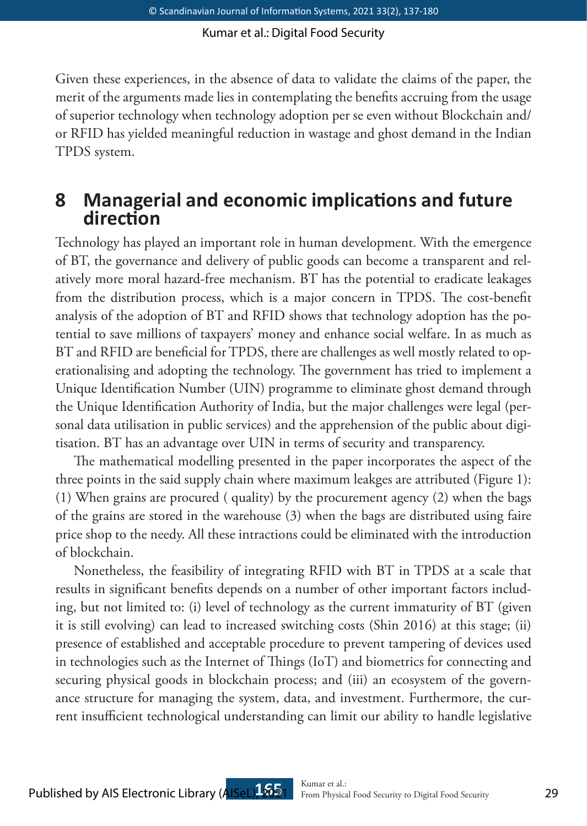Given these experiences, in the absence of data to validate the claims of the paper, the merit of the arguments made lies in contemplating the benefits accruing from the usage of superior technology when technology adoption per se even without Blockchain and/ or RFID has yielded meaningful reduction in wastage and ghost demand in the Indian TPDS system.

## **8 Managerial and economic implications and future direction**

Technology has played an important role in human development. With the emergence of BT, the governance and delivery of public goods can become a transparent and relatively more moral hazard-free mechanism. BT has the potential to eradicate leakages from the distribution process, which is a major concern in TPDS. The cost-benefit analysis of the adoption of BT and RFID shows that technology adoption has the potential to save millions of taxpayers' money and enhance social welfare. In as much as BT and RFID are beneficial for TPDS, there are challenges as well mostly related to operationalising and adopting the technology. The government has tried to implement a Unique Identification Number (UIN) programme to eliminate ghost demand through the Unique Identification Authority of India, but the major challenges were legal (personal data utilisation in public services) and the apprehension of the public about digitisation. BT has an advantage over UIN in terms of security and transparency.

The mathematical modelling presented in the paper incorporates the aspect of the three points in the said supply chain where maximum leakges are attributed (Figure 1): (1) When grains are procured ( quality) by the procurement agency (2) when the bags of the grains are stored in the warehouse (3) when the bags are distributed using faire price shop to the needy. All these intractions could be eliminated with the introduction of blockchain.

Nonetheless, the feasibility of integrating RFID with BT in TPDS at a scale that results in significant benefits depends on a number of other important factors including, but not limited to: (i) level of technology as the current immaturity of BT (given it is still evolving) can lead to increased switching costs (Shin 2016) at this stage; (ii) presence of established and acceptable procedure to prevent tampering of devices used in technologies such as the Internet of Things (IoT) and biometrics for connecting and securing physical goods in blockchain process; and (iii) an ecosystem of the governance structure for managing the system, data, and investment. Furthermore, the current insufficient technological understanding can limit our ability to handle legislative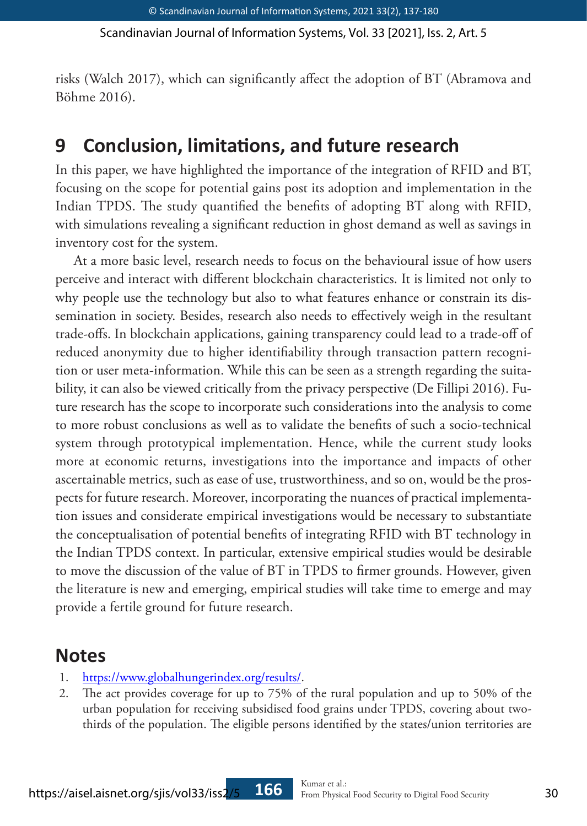risks (Walch 2017), which can significantly affect the adoption of BT (Abramova and Böhme 2016).

# **9 Conclusion, limitations, and future research**

In this paper, we have highlighted the importance of the integration of RFID and BT, focusing on the scope for potential gains post its adoption and implementation in the Indian TPDS. The study quantified the benefits of adopting BT along with RFID, with simulations revealing a significant reduction in ghost demand as well as savings in inventory cost for the system.

At a more basic level, research needs to focus on the behavioural issue of how users perceive and interact with different blockchain characteristics. It is limited not only to why people use the technology but also to what features enhance or constrain its dissemination in society. Besides, research also needs to effectively weigh in the resultant trade-offs. In blockchain applications, gaining transparency could lead to a trade-off of reduced anonymity due to higher identifiability through transaction pattern recognition or user meta-information. While this can be seen as a strength regarding the suitability, it can also be viewed critically from the privacy perspective (De Fillipi 2016). Future research has the scope to incorporate such considerations into the analysis to come to more robust conclusions as well as to validate the benefits of such a socio-technical system through prototypical implementation. Hence, while the current study looks more at economic returns, investigations into the importance and impacts of other ascertainable metrics, such as ease of use, trustworthiness, and so on, would be the prospects for future research. Moreover, incorporating the nuances of practical implementation issues and considerate empirical investigations would be necessary to substantiate the conceptualisation of potential benefits of integrating RFID with BT technology in the Indian TPDS context. In particular, extensive empirical studies would be desirable to move the discussion of the value of BT in TPDS to firmer grounds. However, given the literature is new and emerging, empirical studies will take time to emerge and may provide a fertile ground for future research.

## **Notes**

- 1. https://www.globalhungerindex.org/results/.
- 2. The act provides coverage for up to 75% of the rural population and up to 50% of the urban population for receiving subsidised food grains under TPDS, covering about twothirds of the population. The eligible persons identified by the states/union territories are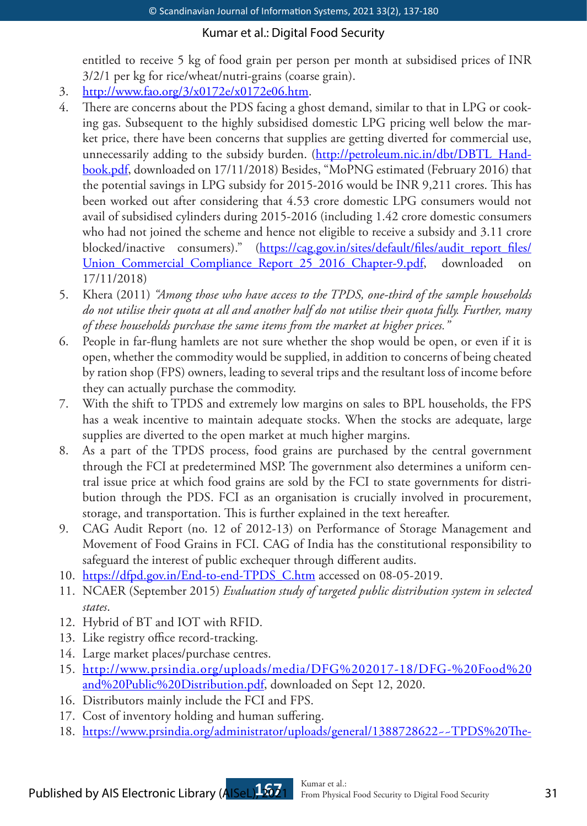entitled to receive 5 kg of food grain per person per month at subsidised prices of INR 3/2/1 per kg for rice/wheat/nutri-grains (coarse grain).

- 3. http://www.fao.org/3/x0172e/x0172e06.htm.
- 4. There are concerns about the PDS facing a ghost demand, similar to that in LPG or cooking gas. Subsequent to the highly subsidised domestic LPG pricing well below the market price, there have been concerns that supplies are getting diverted for commercial use, unnecessarily adding to the subsidy burden. (http://petroleum.nic.in/dbt/DBTL\_Handbook.pdf, downloaded on 17/11/2018) Besides, "MoPNG estimated (February 2016) that the potential savings in LPG subsidy for 2015-2016 would be INR 9,211 crores. This has been worked out after considering that 4.53 crore domestic LPG consumers would not avail of subsidised cylinders during 2015-2016 (including 1.42 crore domestic consumers who had not joined the scheme and hence not eligible to receive a subsidy and 3.11 crore blocked/inactive consumers)." (https://cag.gov.in/sites/default/files/audit\_report\_files/ Union\_Commercial\_Compliance\_Report\_25\_2016\_Chapter-9.pdf, downloaded 17/11/2018)
- 5. Khera (2011) *"Among those who have access to the TPDS, one-third of the sample households do not utilise their quota at all and another half do not utilise their quota fully. Further, many of these households purchase the same items from the market at higher prices."*
- 6. People in far-flung hamlets are not sure whether the shop would be open, or even if it is open, whether the commodity would be supplied, in addition to concerns of being cheated by ration shop (FPS) owners, leading to several trips and the resultant loss of income before they can actually purchase the commodity.
- 7. With the shift to TPDS and extremely low margins on sales to BPL households, the FPS has a weak incentive to maintain adequate stocks. When the stocks are adequate, large supplies are diverted to the open market at much higher margins.
- 8. As a part of the TPDS process, food grains are purchased by the central government through the FCI at predetermined MSP. The government also determines a uniform central issue price at which food grains are sold by the FCI to state governments for distribution through the PDS. FCI as an organisation is crucially involved in procurement, storage, and transportation. This is further explained in the text hereafter.
- 9. CAG Audit Report (no. 12 of 2012-13) on Performance of Storage Management and Movement of Food Grains in FCI. CAG of India has the constitutional responsibility to safeguard the interest of public exchequer through different audits.
- 10. https://dfpd.gov.in/End-to-end-TPDS C.htm accessed on 08-05-2019.
- 11. NCAER (September 2015) *Evaluation study of targeted public distribution system in selected states*.
- 12. Hybrid of BT and IOT with RFID.
- 13. Like registry office record-tracking.
- 14. Large market places/purchase centres.
- 15. http://www.prsindia.org/uploads/media/DFG%202017-18/DFG-%20Food%20 and%20Public%20Distribution.pdf, downloaded on Sept 12, 2020.
- 16. Distributors mainly include the FCI and FPS.
- 17. Cost of inventory holding and human suffering.
- 18. https://www.prsindia.org/administrator/uploads/general/1388728622~~TPDS%20The-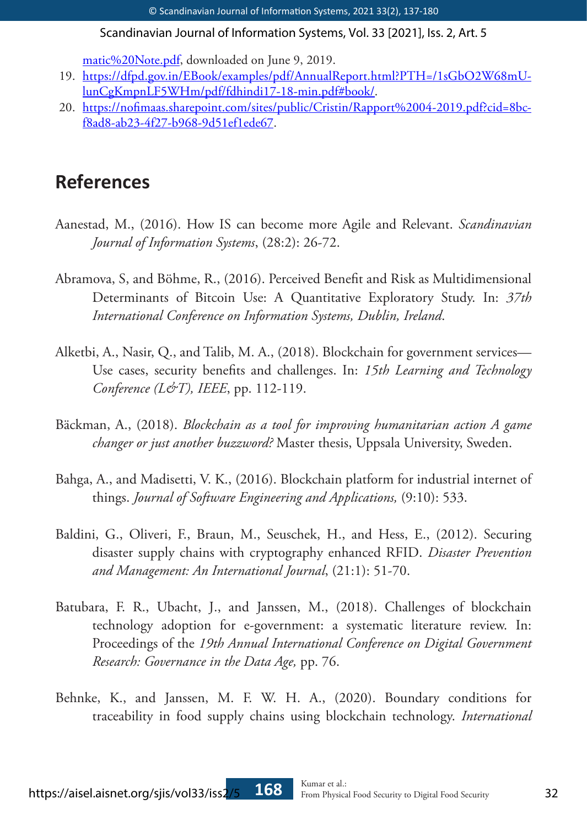matic%20Note.pdf, downloaded on June 9, 2019.

- 19. https://dfpd.gov.in/EBook/examples/pdf/AnnualReport.html?PTH=/1sGbO2W68mUlunCgKmpnLF5WHm/pdf/fdhindi17-18-min.pdf#book/.
- 20. https://nofimaas.sharepoint.com/sites/public/Cristin/Rapport%2004-2019.pdf?cid=8bcf8ad8-ab23-4f27-b968-9d51ef1ede67.

# **References**

- Aanestad, M., (2016). How IS can become more Agile and Relevant. *Scandinavian Journal of Information Systems*, (28:2): 26-72.
- Abramova, S, and Böhme, R., (2016). Perceived Benefit and Risk as Multidimensional Determinants of Bitcoin Use: A Quantitative Exploratory Study. In: *37th International Conference on Information Systems, Dublin, Ireland*.
- Alketbi, A., Nasir, Q., and Talib, M. A., (2018). Blockchain for government services— Use cases, security benefits and challenges. In: *15th Learning and Technology Conference (L&T), IEEE*, pp. 112-119.
- Bäckman, A., (2018). *Blockchain as a tool for improving humanitarian action A game changer or just another buzzword?* Master thesis, Uppsala University, Sweden.
- Bahga, A., and Madisetti, V. K., (2016). Blockchain platform for industrial internet of things. *Journal of Software Engineering and Applications,* (9:10): 533.
- Baldini, G., Oliveri, F., Braun, M., Seuschek, H., and Hess, E., (2012). Securing disaster supply chains with cryptography enhanced RFID. *Disaster Prevention and Management: An International Journal*, (21:1): 51-70.
- Batubara, F. R., Ubacht, J., and Janssen, M., (2018). Challenges of blockchain technology adoption for e-government: a systematic literature review. In: Proceedings of the *19th Annual International Conference on Digital Government Research: Governance in the Data Age,* pp. 76.
- Behnke, K., and Janssen, M. F. W. H. A., (2020). Boundary conditions for traceability in food supply chains using blockchain technology. *International*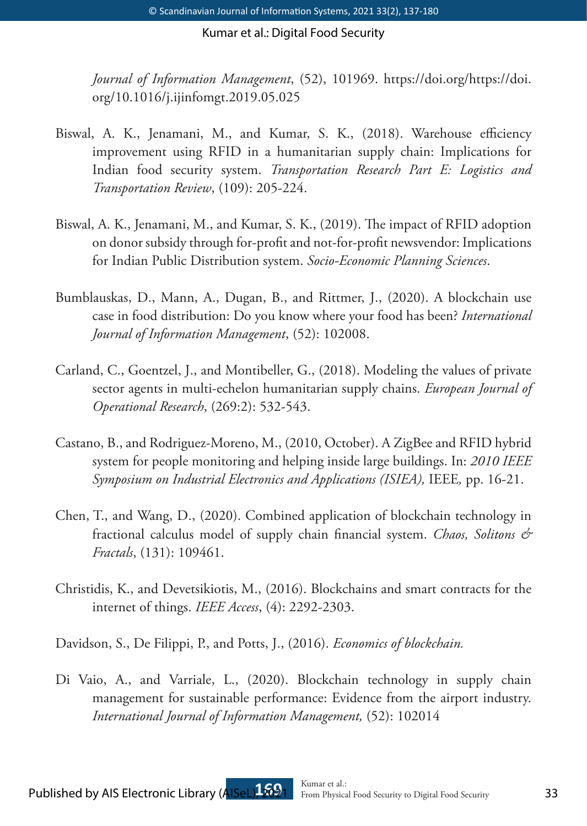*Journal of Information Management*, (52), 101969. https://doi.org/https://doi. org/10.1016/j.ijinfomgt.2019.05.025

- Biswal, A. K., Jenamani, M., and Kumar, S. K., (2018). Warehouse efficiency improvement using RFID in a humanitarian supply chain: Implications for Indian food security system. *Transportation Research Part E: Logistics and Transportation Review*, (109): 205-224.
- Biswal, A. K., Jenamani, M., and Kumar, S. K., (2019). The impact of RFID adoption on donor subsidy through for-profit and not-for-profit newsvendor: Implications for Indian Public Distribution system. *Socio-Economic Planning Sciences*.
- Bumblauskas, D., Mann, A., Dugan, B., and Rittmer, J., (2020). A blockchain use case in food distribution: Do you know where your food has been? *International Journal of Information Management*, (52): 102008.
- Carland, C., Goentzel, J., and Montibeller, G., (2018). Modeling the values of private sector agents in multi-echelon humanitarian supply chains. *European Journal of Operational Research*, (269:2): 532-543.
- Castano, B., and Rodriguez-Moreno, M., (2010, October). A ZigBee and RFID hybrid system for people monitoring and helping inside large buildings. In: *2010 IEEE Symposium on Industrial Electronics and Applications (ISIEA),* IEEE*,* pp. 16-21.
- Chen, T., and Wang, D., (2020). Combined application of blockchain technology in fractional calculus model of supply chain financial system. *Chaos, Solitons & Fractals*, (131): 109461.
- Christidis, K., and Devetsikiotis, M., (2016). Blockchains and smart contracts for the internet of things. *IEEE Access*, (4): 2292-2303.

Davidson, S., De Filippi, P., and Potts, J., (2016). *Economics of blockchain.*

Di Vaio, A., and Varriale, L., (2020). Blockchain technology in supply chain management for sustainable performance: Evidence from the airport industry. *International Journal of Information Management,* (52): 102014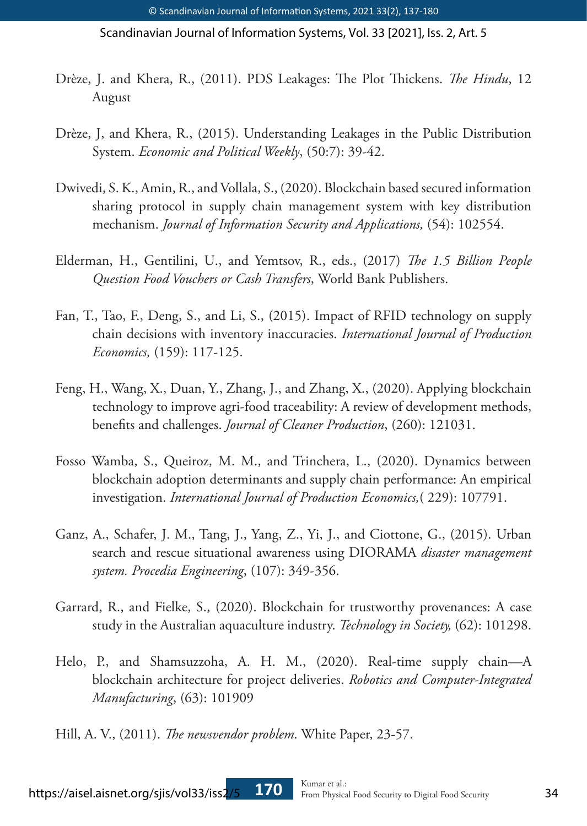- Drèze, J. and Khera, R., (2011). PDS Leakages: The Plot Thickens. *The Hindu*, 12 August
- Drèze, J, and Khera, R., (2015). Understanding Leakages in the Public Distribution System. *Economic and Political Weekly*, (50:7): 39-42.
- Dwivedi, S. K., Amin, R., and Vollala, S., (2020). Blockchain based secured information sharing protocol in supply chain management system with key distribution mechanism. *Journal of Information Security and Applications,* (54): 102554.
- Elderman, H., Gentilini, U., and Yemtsov, R., eds., (2017) *The 1.5 Billion People Question Food Vouchers or Cash Transfers*, World Bank Publishers.
- Fan, T., Tao, F., Deng, S., and Li, S., (2015). Impact of RFID technology on supply chain decisions with inventory inaccuracies. *International Journal of Production Economics,* (159): 117-125.
- Feng, H., Wang, X., Duan, Y., Zhang, J., and Zhang, X., (2020). Applying blockchain technology to improve agri-food traceability: A review of development methods, benefits and challenges. *Journal of Cleaner Production*, (260): 121031.
- Fosso Wamba, S., Queiroz, M. M., and Trinchera, L., (2020). Dynamics between blockchain adoption determinants and supply chain performance: An empirical investigation. *International Journal of Production Economics,*( 229): 107791.
- Ganz, A., Schafer, J. M., Tang, J., Yang, Z., Yi, J., and Ciottone, G., (2015). Urban search and rescue situational awareness using DIORAMA *disaster management system. Procedia Engineering*, (107): 349-356.
- Garrard, R., and Fielke, S., (2020). Blockchain for trustworthy provenances: A case study in the Australian aquaculture industry. *Technology in Society,* (62): 101298.
- Helo, P., and Shamsuzzoha, A. H. M., (2020). Real-time supply chain—A blockchain architecture for project deliveries. *Robotics and Computer-Integrated Manufacturing*, (63): 101909
- Hill, A. V., (2011). *The newsvendor problem*. White Paper, 23-57.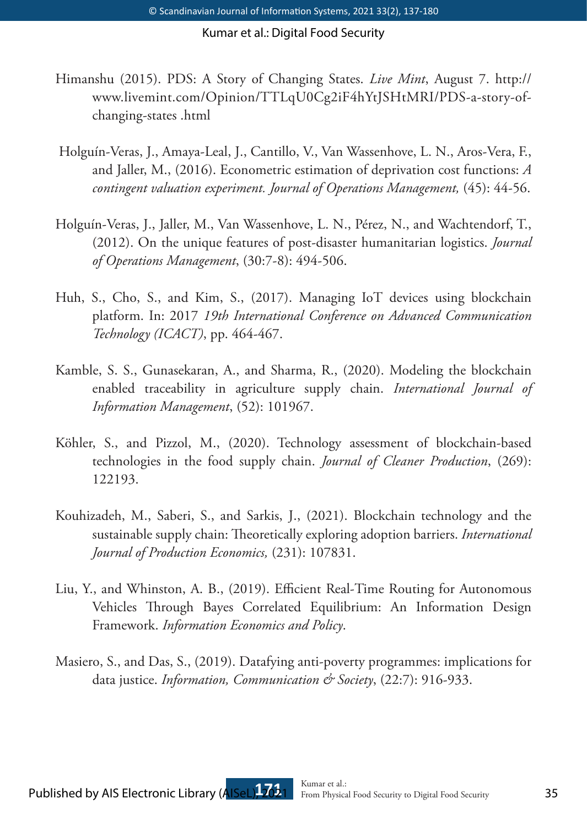- Himanshu (2015). PDS: A Story of Changing States. *Live Mint*, August 7. http:// www.livemint.com/Opinion/TTLqU0Cg2iF4hYtJSHtMRI/PDS-a-story-ofchanging-states .html
- Holguín-Veras, J., Amaya-Leal, J., Cantillo, V., Van Wassenhove, L. N., Aros-Vera, F., and Jaller, M., (2016). Econometric estimation of deprivation cost functions: *A contingent valuation experiment. Journal of Operations Management,* (45): 44-56.
- Holguín-Veras, J., Jaller, M., Van Wassenhove, L. N., Pérez, N., and Wachtendorf, T., (2012). On the unique features of post-disaster humanitarian logistics. *Journal of Operations Management*, (30:7-8): 494-506.
- Huh, S., Cho, S., and Kim, S., (2017). Managing IoT devices using blockchain platform. In: 2017 *19th International Conference on Advanced Communication Technology (ICACT)*, pp. 464-467.
- Kamble, S. S., Gunasekaran, A., and Sharma, R., (2020). Modeling the blockchain enabled traceability in agriculture supply chain. *International Journal of Information Management*, (52): 101967.
- Köhler, S., and Pizzol, M., (2020). Technology assessment of blockchain-based technologies in the food supply chain. *Journal of Cleaner Production*, (269): 122193.
- Kouhizadeh, M., Saberi, S., and Sarkis, J., (2021). Blockchain technology and the sustainable supply chain: Theoretically exploring adoption barriers. *International Journal of Production Economics,* (231): 107831.
- Liu, Y., and Whinston, A. B., (2019). Efficient Real-Time Routing for Autonomous Vehicles Through Bayes Correlated Equilibrium: An Information Design Framework. *Information Economics and Policy*.
- Masiero, S., and Das, S., (2019). Datafying anti-poverty programmes: implications for data justice. *Information, Communication & Society*, (22:7): 916-933.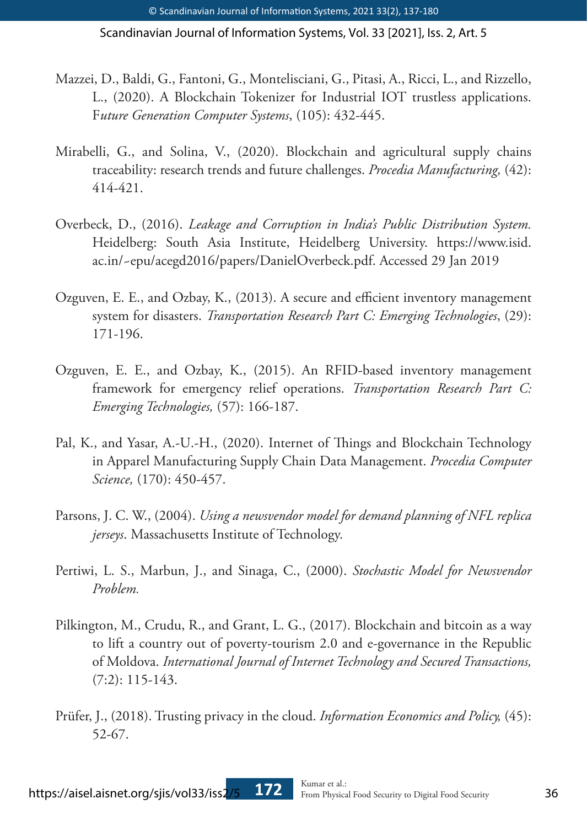- Mazzei, D., Baldi, G., Fantoni, G., Montelisciani, G., Pitasi, A., Ricci, L., and Rizzello, L., (2020). A Blockchain Tokenizer for Industrial IOT trustless applications. F*uture Generation Computer Systems*, (105): 432-445.
- Mirabelli, G., and Solina, V., (2020). Blockchain and agricultural supply chains traceability: research trends and future challenges. *Procedia Manufacturing,* (42): 414-421.
- Overbeck, D., (2016). *Leakage and Corruption in India's Public Distribution System.* Heidelberg: South Asia Institute, Heidelberg University. https://www.isid. ac.in/~epu/acegd2016/papers/DanielOverbeck.pdf. Accessed 29 Jan 2019
- Ozguven, E. E., and Ozbay, K., (2013). A secure and efficient inventory management system for disasters. *Transportation Research Part C: Emerging Technologies*, (29): 171-196.
- Ozguven, E. E., and Ozbay, K., (2015). An RFID-based inventory management framework for emergency relief operations. *Transportation Research Part C: Emerging Technologies,* (57): 166-187.
- Pal, K., and Yasar, A.-U.-H., (2020). Internet of Things and Blockchain Technology in Apparel Manufacturing Supply Chain Data Management. *Procedia Computer Science,* (170): 450-457.
- Parsons, J. C. W., (2004). *Using a newsvendor model for demand planning of NFL replica jerseys*. Massachusetts Institute of Technology.
- Pertiwi, L. S., Marbun, J., and Sinaga, C., (2000). *Stochastic Model for Newsvendor Problem.*
- Pilkington, M., Crudu, R., and Grant, L. G., (2017). Blockchain and bitcoin as a way to lift a country out of poverty-tourism 2.0 and e-governance in the Republic of Moldova. *International Journal of Internet Technology and Secured Transactions,*  $(7:2): 115-143.$
- Prüfer, J., (2018). Trusting privacy in the cloud. *Information Economics and Policy,* (45): 52-67.

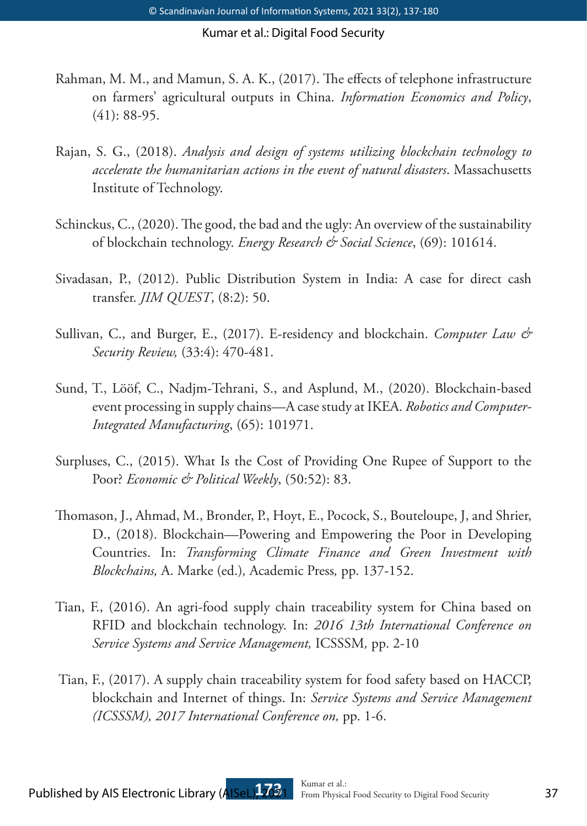- Rahman, M. M., and Mamun, S. A. K., (2017). The effects of telephone infrastructure on farmers' agricultural outputs in China. *Information Economics and Policy*, (41): 88-95.
- Rajan, S. G., (2018). *Analysis and design of systems utilizing blockchain technology to accelerate the humanitarian actions in the event of natural disasters*. Massachusetts Institute of Technology.
- Schinckus, C., (2020). The good, the bad and the ugly: An overview of the sustainability of blockchain technology. *Energy Research & Social Science*, (69): 101614.
- Sivadasan, P., (2012). Public Distribution System in India: A case for direct cash transfer. *JIM QUEST*, (8:2): 50.
- Sullivan, C., and Burger, E., (2017). E-residency and blockchain. *Computer Law & Security Review,* (33:4): 470-481.
- Sund, T., Lööf, C., Nadjm-Tehrani, S., and Asplund, M., (2020). Blockchain-based event processing in supply chains—A case study at IKEA. *Robotics and Computer-Integrated Manufacturing*, (65): 101971.
- Surpluses, C., (2015). What Is the Cost of Providing One Rupee of Support to the Poor? *Economic & Political Weekly*, (50:52): 83.
- Thomason, J., Ahmad, M., Bronder, P., Hoyt, E., Pocock, S., Bouteloupe, J, and Shrier, D., (2018). Blockchain—Powering and Empowering the Poor in Developing Countries. In: *Transforming Climate Finance and Green Investment with Blockchains,* A. Marke (ed.)*,* Academic Press*,* pp. 137-152.
- Tian, F., (2016). An agri-food supply chain traceability system for China based on RFID and blockchain technology. In: *2016 13th International Conference on Service Systems and Service Management,* ICSSSM*,* pp. 2-10
- Tian, F., (2017). A supply chain traceability system for food safety based on HACCP, blockchain and Internet of things. In: *Service Systems and Service Management (ICSSSM), 2017 International Conference on,* pp. 1-6.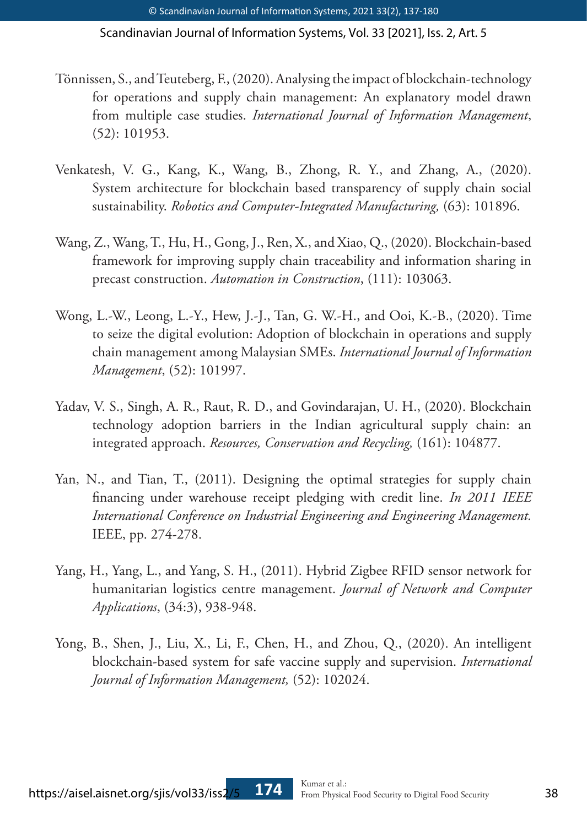- Tönnissen, S., and Teuteberg, F., (2020). Analysing the impact of blockchain-technology for operations and supply chain management: An explanatory model drawn from multiple case studies. *International Journal of Information Management*, (52): 101953.
- Venkatesh, V. G., Kang, K., Wang, B., Zhong, R. Y., and Zhang, A., (2020). System architecture for blockchain based transparency of supply chain social sustainability. *Robotics and Computer-Integrated Manufacturing,* (63): 101896.
- Wang, Z., Wang, T., Hu, H., Gong, J., Ren, X., and Xiao, Q., (2020). Blockchain-based framework for improving supply chain traceability and information sharing in precast construction. *Automation in Construction*, (111): 103063.
- Wong, L.-W., Leong, L.-Y., Hew, J.-J., Tan, G. W.-H., and Ooi, K.-B., (2020). Time to seize the digital evolution: Adoption of blockchain in operations and supply chain management among Malaysian SMEs. *International Journal of Information Management*, (52): 101997.
- Yadav, V. S., Singh, A. R., Raut, R. D., and Govindarajan, U. H., (2020). Blockchain technology adoption barriers in the Indian agricultural supply chain: an integrated approach. *Resources, Conservation and Recycling,* (161): 104877.
- Yan, N., and Tian, T., (2011). Designing the optimal strategies for supply chain financing under warehouse receipt pledging with credit line. *In 2011 IEEE International Conference on Industrial Engineering and Engineering Management.*  IEEE, pp. 274-278.
- Yang, H., Yang, L., and Yang, S. H., (2011). Hybrid Zigbee RFID sensor network for humanitarian logistics centre management. *Journal of Network and Computer Applications*, (34:3), 938-948.
- Yong, B., Shen, J., Liu, X., Li, F., Chen, H., and Zhou, Q., (2020). An intelligent blockchain-based system for safe vaccine supply and supervision. *International Journal of Information Management,* (52): 102024.

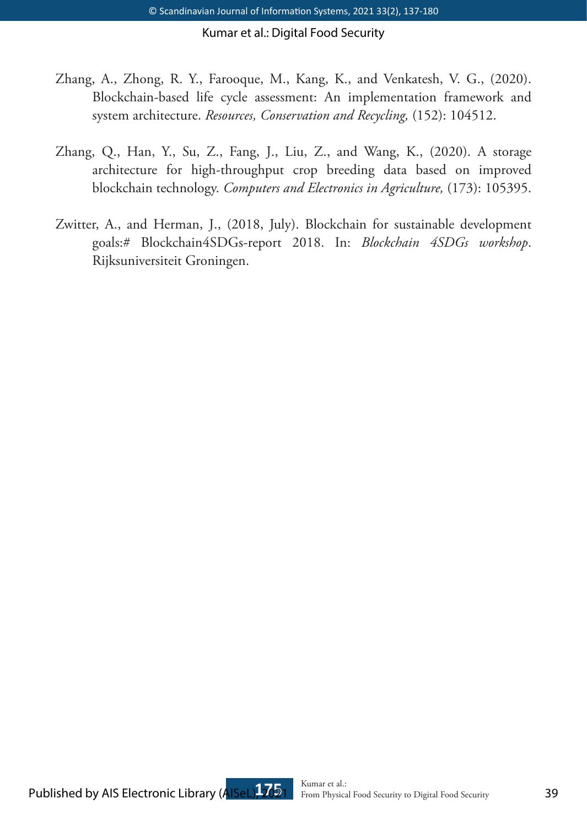- Zhang, A., Zhong, R. Y., Farooque, M., Kang, K., and Venkatesh, V. G., (2020). Blockchain-based life cycle assessment: An implementation framework and system architecture. *Resources, Conservation and Recycling,* (152): 104512.
- Zhang, Q., Han, Y., Su, Z., Fang, J., Liu, Z., and Wang, K., (2020). A storage architecture for high-throughput crop breeding data based on improved blockchain technology. *Computers and Electronics in Agriculture,* (173): 105395.
- Zwitter, A., and Herman, J., (2018, July). Blockchain for sustainable development goals:# Blockchain4SDGs-report 2018. In: *Blockchain 4SDGs workshop*. Rijksuniversiteit Groningen.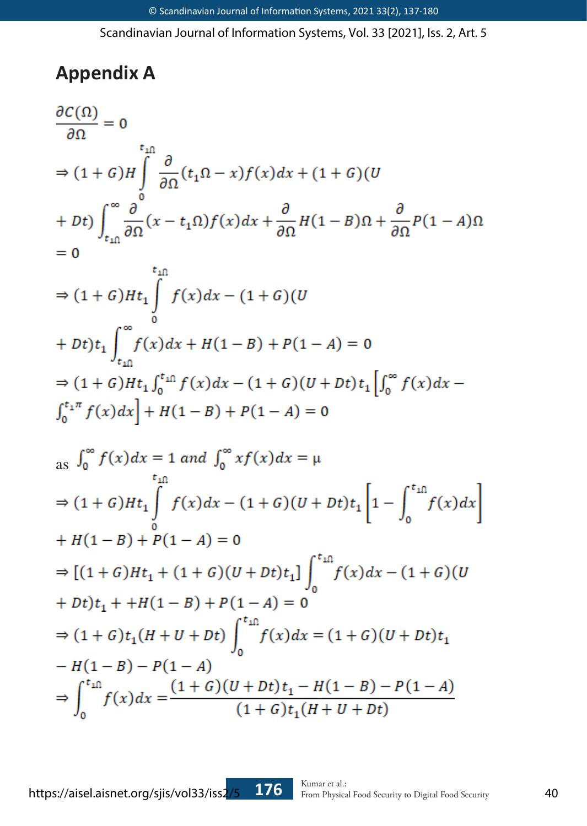# **Appendix A**

$$
\frac{\partial C(\Omega)}{\partial \Omega} = 0
$$
\n
$$
\Rightarrow (1+G)H \int_{0}^{t_{\text{in}}}\frac{\partial}{\partial \Omega}(t_{1}\Omega - x)f(x)dx + (1+G)(U + Dt) \int_{t_{\text{in}}}\frac{\partial}{\partial \Omega}(x - t_{1}\Omega)f(x)dx + \frac{\partial}{\partial \Omega}H(1-B)\Omega + \frac{\partial}{\partial \Omega}P(1-A)\Omega
$$
\n
$$
= 0
$$
\ntin  
\n
$$
\Rightarrow (1+G)Ht_{1} \int_{t_{\text{in}}}^{t_{\text{in}}}\frac{f(x)dx - (1+G)(U + Dt) + (1-A) = 0
$$
\n
$$
\Rightarrow (1+G)Ht_{1} \int_{t_{\text{in}}}^{t_{\text{in}}}\frac{f(x)dx + H(1-B) + P(1-A) = 0
$$
\n
$$
\Rightarrow (1+G)Ht_{1} \int_{t_{\text{in}}}^{t_{\text{in}}}f(x)dx - (1+G)(U + Dt)t_{1} \left[\int_{0}^{\infty}f(x)dx - \int_{0}^{t_{1}\pi}f(x)dx\right] + H(1-B) + P(1-A) = 0
$$
\n
$$
\text{as } \int_{0}^{\infty}f(x)dx = 1 \text{ and } \int_{0}^{\infty}xf(x)dx = \mu
$$
\n
$$
\Rightarrow (1+G)Ht_{1} \int_{0}^{t_{\text{in}}}\frac{f(x)dx - (1+G)(U + Dt)t_{1}}{f(x)}\left[1 - \int_{0}^{t_{\text{in}}}f(x)dx\right]
$$
\n
$$
+ H(1-B) + P(1-A) = 0
$$
\n
$$
\Rightarrow [(1+G)Ht_{1} + (1+G)(U + Dt)t_{1}] \int_{0}^{t_{\text{in}}}\frac{f(x)}{f(x)}dx - (1+G)(U + Dt)t_{1}
$$
\n
$$
+ Dt)t_{1} + H(1-B) + P(1-A) = 0
$$
\n
$$
\Rightarrow (1+G)t_{1}(H + U + Dt) \int_{0}^{t_{\text{in}}}f(x)dx = (1+G)(U + Dt)t_{1}
$$
\n
$$
- H(1-B) - P(1-A)
$$
\n
$$
\Rightarrow \int_{0}^{t_{\text{in}}}f(x)dx = \frac
$$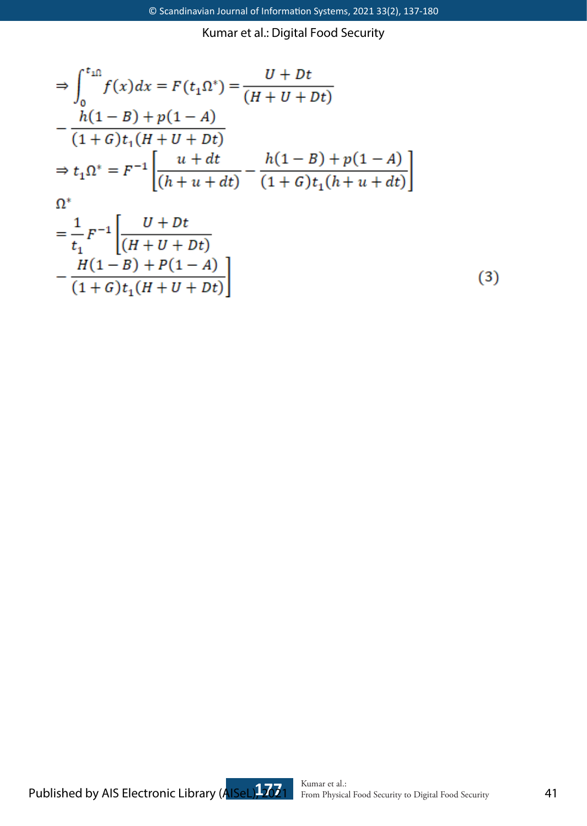$$
\Rightarrow \int_0^{t_{\text{in}}} f(x)dx = F(t_1 \Omega^*) = \frac{U + Dt}{(H + U + Dt)}
$$
  
\n
$$
- \frac{h(1 - B) + p(1 - A)}{(1 + G)t_1(H + U + Dt)}
$$
  
\n
$$
\Rightarrow t_1 \Omega^* = F^{-1} \left[ \frac{u + dt}{(h + u + dt)} - \frac{h(1 - B) + p(1 - A)}{(1 + G)t_1(h + u + dt)} \right]
$$
  
\n
$$
\Omega^*
$$
  
\n
$$
= \frac{1}{t_1} F^{-1} \left[ \frac{U + Dt}{(H + U + Dt)} - \frac{H(1 - B) + P(1 - A)}{(1 + G)t_1(H + U + Dt)} \right]
$$
 (3)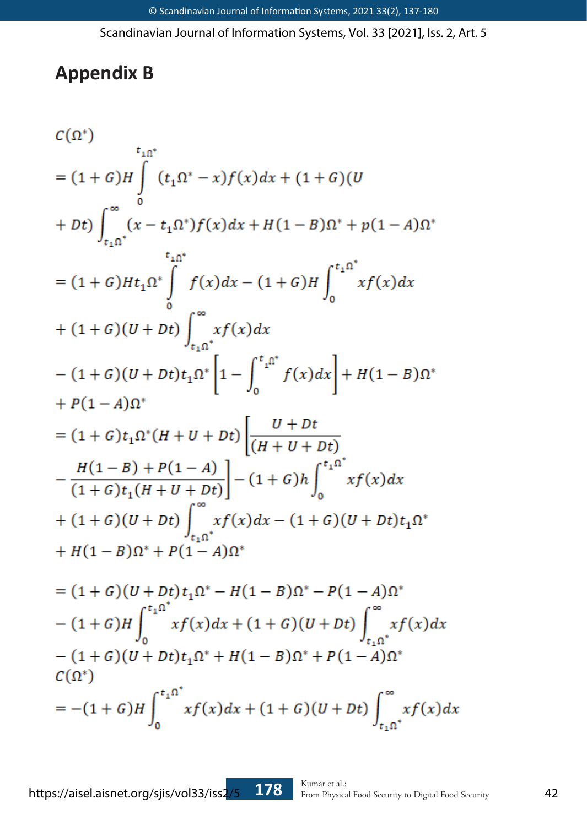# **Appendix B**

$$
c(\Omega^*)
$$
  
\n
$$
= (1+G)H \int_{t_1\Omega^*}^{t_1\Omega^*} (t_1\Omega^* - x)f(x)dx + (1+G)(U
$$
  
\n
$$
+ Dt) \int_{t_1\Omega^*}^{\infty} (x-t_1\Omega^*)f(x)dx + H(1-B)\Omega^* + p(1-A)\Omega^*
$$
  
\n
$$
= (1+G)Ht_1\Omega^* \int_{0}^{t_1\Omega^*} f(x)dx - (1+G)H \int_{0}^{t_1\Omega^*} xf(x)dx
$$
  
\n
$$
+ (1+G)(U+Dt) \int_{t_1\Omega^*}^{\infty} xf(x)dx
$$
  
\n
$$
- (1+G)(U+Dt)t_1\Omega^* \left[1 - \int_{0}^{t_1\Omega^*} f(x)dx\right] + H(1-B)\Omega^*
$$
  
\n
$$
+ P(1-A)\Omega^*
$$
  
\n
$$
= (1+G)t_1\Omega^*(H+U+Dt) \left[\frac{U+Dt}{(H+U+Dt)} - \frac{H(1-B)+P(1-A)}{(1+G)t_1(H+U+Dt)}\right] - (1+G)h \int_{0}^{t_1\Omega^*} xf(x)dx
$$
  
\n
$$
+ (1+G)(U+Dt) \int_{t_1\Omega^*}^{\infty} xf(x)dx - (1+G)(U+Dt)t_1\Omega^*
$$
  
\n
$$
+ H(1-B)\Omega^* + P(1-A)\Omega^*
$$
  
\n
$$
= (1+G)(U+Dt)t_1\Omega^* - H(1-B)\Omega^* - P(1-A)\Omega^*
$$
  
\n
$$
- (1+G)H \int_{0}^{t_1\Omega^*} xf(x)dx + (1+G)(U+Dt) \int_{t_1\Omega^*}^{\infty} xf(x)dx
$$
  
\n
$$
- (1+G)(U+Dt)t_1\Omega^* + H(1-B)\Omega^* + P(1-A)\Omega^*
$$
  
\n
$$
C(\Omega^*)
$$
  
\n
$$
= -(1+G)H \int_{0}^{t_1\Omega^*} xf(x)dx + (1+G)(U+Dt) \int_{t_1\Omega^*}^{\infty} xf(x)dx
$$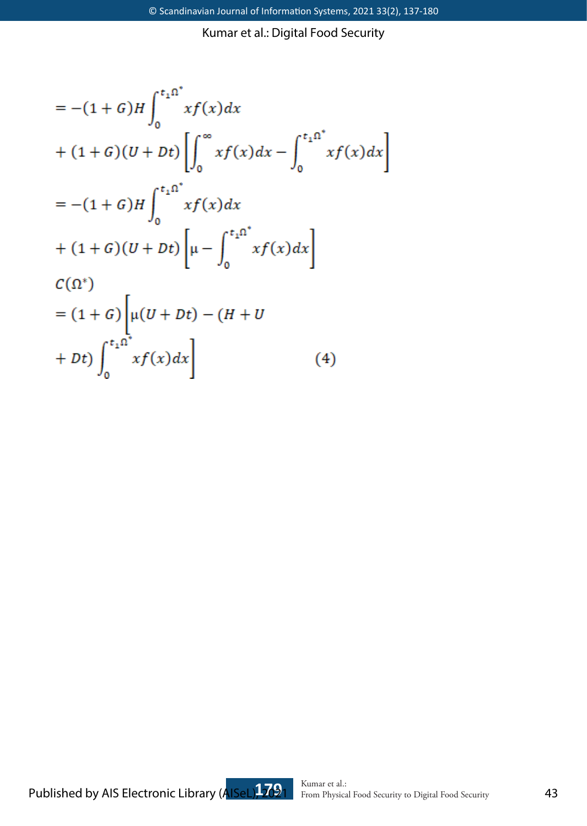$$
= -(1 + G)H \int_0^{t_1 \Omega^*} x f(x) dx
$$
  
+  $(1 + G)(U + Dt) \left[ \int_0^{\infty} x f(x) dx - \int_0^{t_1 \Omega^*} x f(x) dx \right]$   
=  $-(1 + G)H \int_0^{t_1 \Omega^*} x f(x) dx$   
+  $(1 + G)(U + Dt) \left[ \mu - \int_0^{t_1 \Omega^*} x f(x) dx \right]$   
 $C(\Omega^*)$   
=  $(1 + G) \left[ \mu (U + Dt) - (H + U) \right]$   
+  $Dt \int_0^{t_1 \Omega^*} x f(x) dx \right]$  (4)

Published by AIS Electronic Library (AISeL), <sup>Kumar et al.:</sup> From Physical Food Security to Digital Food Security **43**